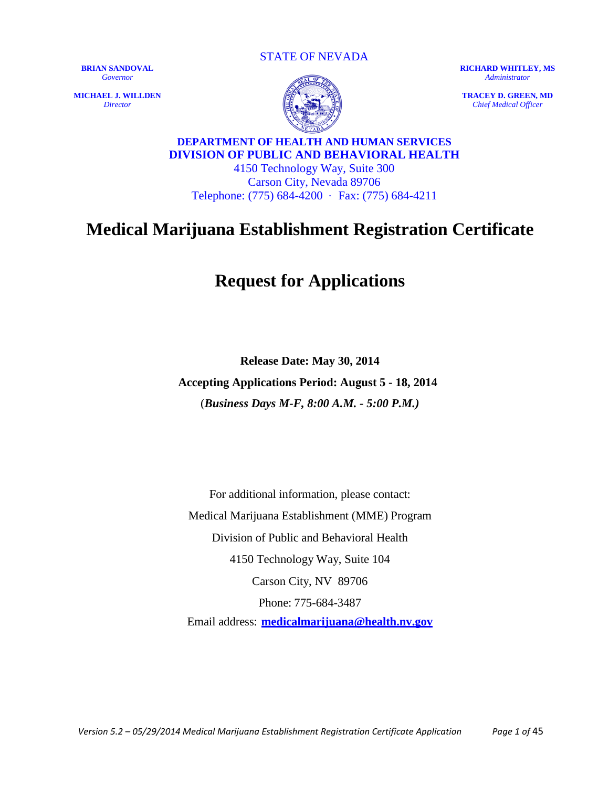**MICHAEL J. WILLDEN** *Director*

STATE OF NEVADA

**RICHARD WHITLEY, MS** *Administrator*

**TRACEY D. GREEN, MD** *Chief Medical Officer*

**DEPARTMENT OF HEALTH AND HUMAN SERVICES DIVISION OF PUBLIC AND BEHAVIORAL HEALTH**

4150 Technology Way, Suite 300 Carson City, Nevada 89706 Telephone: (775) 684-4200 · Fax: (775) 684-4211

# **Medical Marijuana Establishment Registration Certificate**

# **Request for Applications**

**Release Date: May 30, 2014 Accepting Applications Period: August 5 - 18, 2014** (*Business Days M-F, 8:00 A.M. - 5:00 P.M.)*

For additional information, please contact: Medical Marijuana Establishment (MME) Program Division of Public and Behavioral Health 4150 Technology Way, Suite 104 Carson City, NV 89706 Phone: 775-684-3487

Email address: **medicalmarijuana@health.nv.gov**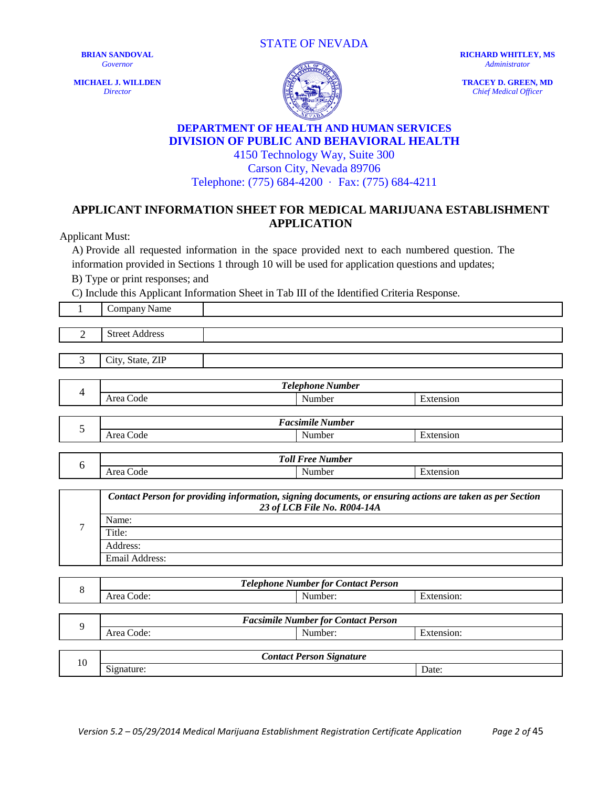STATE OF NEVADA

**BRIAN SANDOVAL** *Governor*

**MICHAEL J. WILLDEN** *Director*



**RICHARD WHITLEY, MS** *Administrator*

**TRACEY D. GREEN, MD** *Chief Medical Officer*

#### **DEPARTMENT OF HEALTH AND HUMAN SERVICES DIVISION OF PUBLIC AND BEHAVIORAL HEALTH** 4150 Technology Way, Suite 300

Carson City, Nevada 89706 Telephone: (775) 684-4200 · Fax: (775) 684-4211

### **APPLICANT INFORMATION SHEET FOR MEDICAL MARIJUANA ESTABLISHMENT APPLICATION**

Applicant Must:

A) Provide all requested information in the space provided next to each numbered question. The information provided in Sections 1 through 10 will be used for application questions and updates;

B) Type or print responses; and

C) Include this Applicant Information Sheet in Tab III of the Identified Criteria Response.

| $\mathbf{1}$   | Company Name                                                                                                                             |                                                       |            |  |
|----------------|------------------------------------------------------------------------------------------------------------------------------------------|-------------------------------------------------------|------------|--|
|                |                                                                                                                                          |                                                       |            |  |
| $\overline{2}$ | <b>Street Address</b>                                                                                                                    |                                                       |            |  |
|                |                                                                                                                                          |                                                       |            |  |
| 3              | City, State, ZIP                                                                                                                         |                                                       |            |  |
|                |                                                                                                                                          |                                                       |            |  |
| $\overline{4}$ |                                                                                                                                          | <b>Telephone Number</b>                               |            |  |
|                | Area Code                                                                                                                                | Number                                                | Extension  |  |
|                |                                                                                                                                          | <b>Facsimile Number</b>                               |            |  |
| 5              | Area Code                                                                                                                                | Number                                                | Extension  |  |
|                | <b>Toll Free Number</b>                                                                                                                  |                                                       |            |  |
| 6              | Area Code                                                                                                                                | Number                                                | Extension  |  |
|                |                                                                                                                                          |                                                       |            |  |
|                | Contact Person for providing information, signing documents, or ensuring actions are taken as per Section<br>23 of LCB File No. R004-14A |                                                       |            |  |
|                | Name:                                                                                                                                    |                                                       |            |  |
| 7              | Title:                                                                                                                                   |                                                       |            |  |
|                |                                                                                                                                          |                                                       |            |  |
|                | Address:                                                                                                                                 |                                                       |            |  |
|                | Email Address:                                                                                                                           |                                                       |            |  |
|                |                                                                                                                                          |                                                       |            |  |
| 8              | Area Code:                                                                                                                               | <b>Telephone Number for Contact Person</b><br>Number: | Extension: |  |
|                |                                                                                                                                          |                                                       |            |  |
|                |                                                                                                                                          | <b>Facsimile Number for Contact Person</b>            |            |  |
| 9              | Area Code:                                                                                                                               | $\overline{\text{Number}}$ :                          | Extension: |  |
|                |                                                                                                                                          |                                                       |            |  |
| 10             | Signature:                                                                                                                               | <b>Contact Person Signature</b>                       | Date:      |  |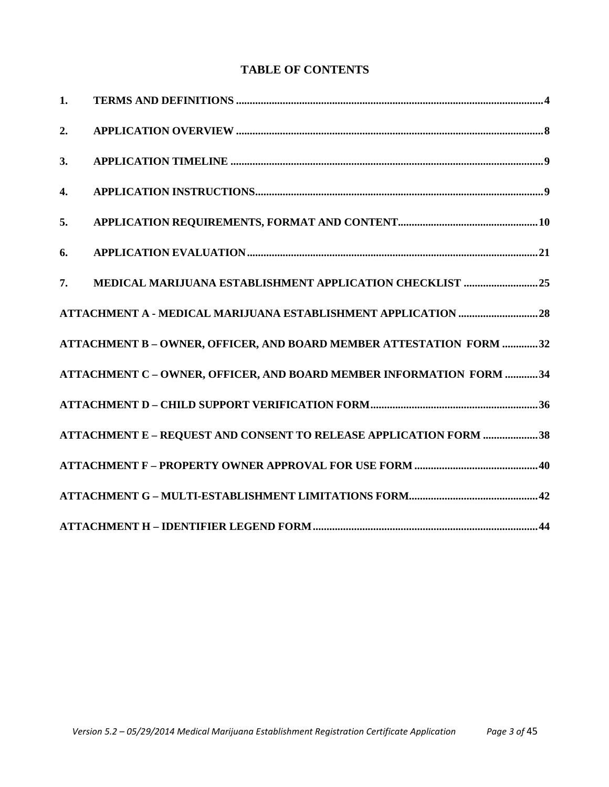## **TABLE OF CONTENTS**

| 1. |                                                                     |
|----|---------------------------------------------------------------------|
| 2. |                                                                     |
| 3. |                                                                     |
| 4. |                                                                     |
| 5. |                                                                     |
| 6. |                                                                     |
| 7. | MEDICAL MARIJUANA ESTABLISHMENT APPLICATION CHECKLIST 25            |
|    |                                                                     |
|    | ATTACHMENT B - OWNER, OFFICER, AND BOARD MEMBER ATTESTATION FORM 32 |
|    | ATTACHMENT C - OWNER, OFFICER, AND BOARD MEMBER INFORMATION FORM 34 |
|    |                                                                     |
|    | ATTACHMENT E - REQUEST AND CONSENT TO RELEASE APPLICATION FORM 38   |
|    |                                                                     |
|    |                                                                     |
|    |                                                                     |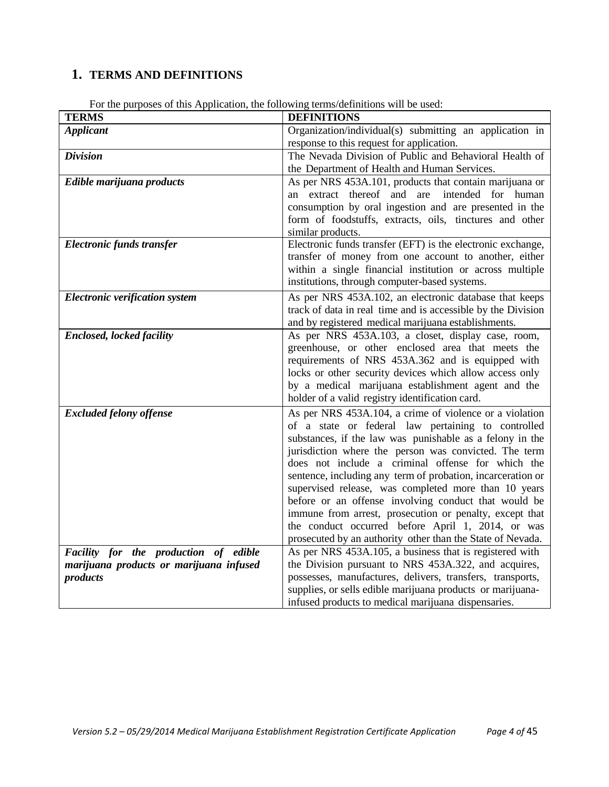## <span id="page-3-0"></span>**1. TERMS AND DEFINITIONS**

| <b>TERMS</b>                                                                                 | <b>DEFINITIONS</b>                                                                                                                                                                                                                                                                                                                                                                                                                                                                                                                                                                                                                                   |
|----------------------------------------------------------------------------------------------|------------------------------------------------------------------------------------------------------------------------------------------------------------------------------------------------------------------------------------------------------------------------------------------------------------------------------------------------------------------------------------------------------------------------------------------------------------------------------------------------------------------------------------------------------------------------------------------------------------------------------------------------------|
| <b>Applicant</b>                                                                             | Organization/individual(s) submitting an application in<br>response to this request for application.                                                                                                                                                                                                                                                                                                                                                                                                                                                                                                                                                 |
| <b>Division</b>                                                                              | The Nevada Division of Public and Behavioral Health of<br>the Department of Health and Human Services.                                                                                                                                                                                                                                                                                                                                                                                                                                                                                                                                               |
| Edible marijuana products                                                                    | As per NRS 453A.101, products that contain marijuana or<br>an extract thereof and are intended for human<br>consumption by oral ingestion and are presented in the<br>form of foodstuffs, extracts, oils, tinctures and other<br>similar products.                                                                                                                                                                                                                                                                                                                                                                                                   |
| Electronic funds transfer                                                                    | Electronic funds transfer (EFT) is the electronic exchange,<br>transfer of money from one account to another, either<br>within a single financial institution or across multiple<br>institutions, through computer-based systems.                                                                                                                                                                                                                                                                                                                                                                                                                    |
| <b>Electronic verification system</b>                                                        | As per NRS 453A.102, an electronic database that keeps<br>track of data in real time and is accessible by the Division<br>and by registered medical marijuana establishments.                                                                                                                                                                                                                                                                                                                                                                                                                                                                        |
| <b>Enclosed, locked facility</b>                                                             | As per NRS 453A.103, a closet, display case, room,<br>greenhouse, or other enclosed area that meets the<br>requirements of NRS 453A.362 and is equipped with<br>locks or other security devices which allow access only<br>by a medical marijuana establishment agent and the<br>holder of a valid registry identification card.                                                                                                                                                                                                                                                                                                                     |
| <b>Excluded felony offense</b>                                                               | As per NRS 453A.104, a crime of violence or a violation<br>of a state or federal law pertaining to controlled<br>substances, if the law was punishable as a felony in the<br>jurisdiction where the person was convicted. The term<br>does not include a criminal offense for which the<br>sentence, including any term of probation, incarceration or<br>supervised release, was completed more than 10 years<br>before or an offense involving conduct that would be<br>immune from arrest, prosecution or penalty, except that<br>the conduct occurred before April 1, 2014, or was<br>prosecuted by an authority other than the State of Nevada. |
| Facility for the production of edible<br>marijuana products or marijuana infused<br>products | As per NRS 453A.105, a business that is registered with<br>the Division pursuant to NRS 453A.322, and acquires,<br>possesses, manufactures, delivers, transfers, transports,<br>supplies, or sells edible marijuana products or marijuana-<br>infused products to medical marijuana dispensaries.                                                                                                                                                                                                                                                                                                                                                    |

For the purposes of this Application, the following terms/definitions will be used: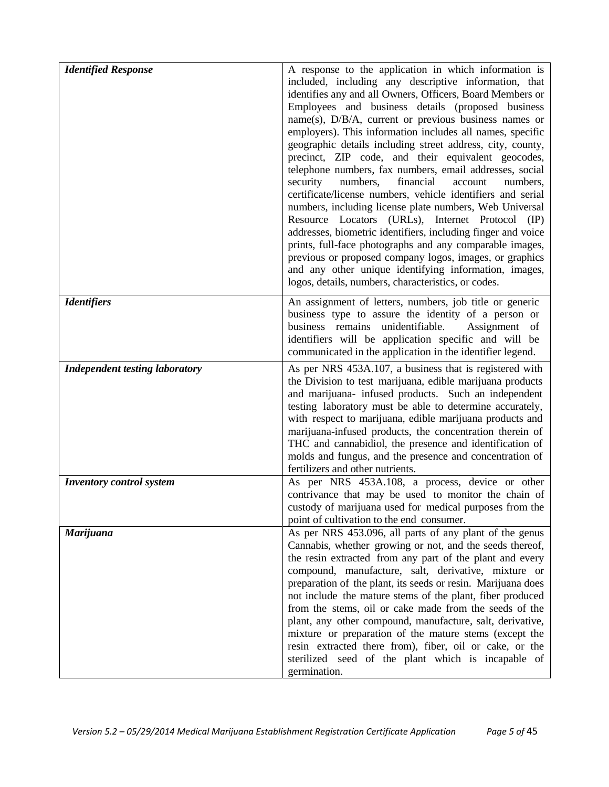| <b>Identified Response</b>            | A response to the application in which information is<br>included, including any descriptive information, that<br>identifies any and all Owners, Officers, Board Members or<br>Employees and business details (proposed business<br>$name(s)$ , $D/B/A$ , current or previous business names or<br>employers). This information includes all names, specific<br>geographic details including street address, city, county,<br>precinct, ZIP code, and their equivalent geocodes,<br>telephone numbers, fax numbers, email addresses, social<br>financial<br>security<br>numbers,<br>account<br>numbers,<br>certificate/license numbers, vehicle identifiers and serial<br>numbers, including license plate numbers, Web Universal<br>Resource Locators (URLs), Internet Protocol (IP)<br>addresses, biometric identifiers, including finger and voice<br>prints, full-face photographs and any comparable images,<br>previous or proposed company logos, images, or graphics<br>and any other unique identifying information, images,<br>logos, details, numbers, characteristics, or codes. |
|---------------------------------------|----------------------------------------------------------------------------------------------------------------------------------------------------------------------------------------------------------------------------------------------------------------------------------------------------------------------------------------------------------------------------------------------------------------------------------------------------------------------------------------------------------------------------------------------------------------------------------------------------------------------------------------------------------------------------------------------------------------------------------------------------------------------------------------------------------------------------------------------------------------------------------------------------------------------------------------------------------------------------------------------------------------------------------------------------------------------------------------------|
| <b>Identifiers</b>                    | An assignment of letters, numbers, job title or generic<br>business type to assure the identity of a person or<br>business remains unidentifiable.<br>Assignment of<br>identifiers will be application specific and will be<br>communicated in the application in the identifier legend.                                                                                                                                                                                                                                                                                                                                                                                                                                                                                                                                                                                                                                                                                                                                                                                                     |
| <b>Independent testing laboratory</b> | As per NRS 453A.107, a business that is registered with<br>the Division to test marijuana, edible marijuana products<br>and marijuana- infused products. Such an independent<br>testing laboratory must be able to determine accurately,<br>with respect to marijuana, edible marijuana products and<br>marijuana-infused products, the concentration therein of<br>THC and cannabidiol, the presence and identification of<br>molds and fungus, and the presence and concentration of<br>fertilizers and other nutrients.                                                                                                                                                                                                                                                                                                                                                                                                                                                                                                                                                                   |
| <b>Inventory control system</b>       | As per NRS 453A.108, a process, device or other<br>contrivance that may be used to monitor the chain of<br>custody of marijuana used for medical purposes from the<br>point of cultivation to the end consumer.                                                                                                                                                                                                                                                                                                                                                                                                                                                                                                                                                                                                                                                                                                                                                                                                                                                                              |
| <b>Marijuana</b>                      | As per NRS 453.096, all parts of any plant of the genus<br>Cannabis, whether growing or not, and the seeds thereof,<br>the resin extracted from any part of the plant and every<br>compound, manufacture, salt, derivative, mixture or<br>preparation of the plant, its seeds or resin. Marijuana does<br>not include the mature stems of the plant, fiber produced<br>from the stems, oil or cake made from the seeds of the<br>plant, any other compound, manufacture, salt, derivative,<br>mixture or preparation of the mature stems (except the<br>resin extracted there from), fiber, oil or cake, or the<br>sterilized seed of the plant which is incapable of<br>germination.                                                                                                                                                                                                                                                                                                                                                                                                        |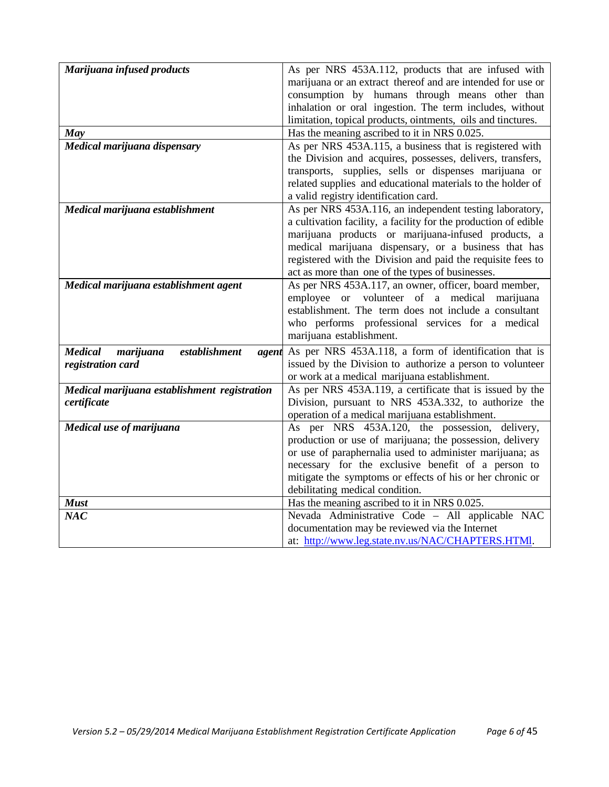| Marijuana infused products                            | As per NRS 453A.112, products that are infused with                                             |
|-------------------------------------------------------|-------------------------------------------------------------------------------------------------|
|                                                       | marijuana or an extract thereof and are intended for use or                                     |
|                                                       | consumption by humans through means other than                                                  |
|                                                       | inhalation or oral ingestion. The term includes, without                                        |
|                                                       | limitation, topical products, ointments, oils and tinctures.                                    |
| May                                                   | Has the meaning ascribed to it in NRS 0.025.                                                    |
| Medical marijuana dispensary                          | As per NRS 453A.115, a business that is registered with                                         |
|                                                       | the Division and acquires, possesses, delivers, transfers,                                      |
|                                                       | transports, supplies, sells or dispenses marijuana or                                           |
|                                                       | related supplies and educational materials to the holder of                                     |
|                                                       | a valid registry identification card.                                                           |
| Medical marijuana establishment                       | As per NRS 453A.116, an independent testing laboratory,                                         |
|                                                       | a cultivation facility, a facility for the production of edible                                 |
|                                                       | marijuana products or marijuana-infused products, a                                             |
|                                                       | medical marijuana dispensary, or a business that has                                            |
|                                                       | registered with the Division and paid the requisite fees to                                     |
|                                                       | act as more than one of the types of businesses.                                                |
| Medical marijuana establishment agent                 | As per NRS 453A.117, an owner, officer, board member,                                           |
|                                                       | employee or volunteer of a medical marijuana                                                    |
|                                                       | establishment. The term does not include a consultant                                           |
|                                                       | who performs professional services for a medical                                                |
|                                                       | marijuana establishment.                                                                        |
| <b>Medical</b><br>marijuana<br>establishment<br>agent | As per NRS 453A.118, a form of identification that is                                           |
| registration card                                     | issued by the Division to authorize a person to volunteer                                       |
|                                                       | or work at a medical marijuana establishment.                                                   |
| Medical marijuana establishment registration          | As per NRS 453A.119, a certificate that is issued by the                                        |
| certificate                                           | Division, pursuant to NRS 453A.332, to authorize the                                            |
|                                                       | operation of a medical marijuana establishment.                                                 |
| Medical use of marijuana                              | As per NRS 453A.120, the possession, delivery,                                                  |
|                                                       | production or use of marijuana; the possession, delivery                                        |
|                                                       | or use of paraphernalia used to administer marijuana; as                                        |
|                                                       | necessary for the exclusive benefit of a person to                                              |
|                                                       | mitigate the symptoms or effects of his or her chronic or                                       |
|                                                       | debilitating medical condition.                                                                 |
| <b>Must</b><br>NAC                                    | Has the meaning ascribed to it in NRS 0.025.<br>Nevada Administrative Code - All applicable NAC |
|                                                       | documentation may be reviewed via the Internet                                                  |
|                                                       | at: http://www.leg.state.nv.us/NAC/CHAPTERS.HTMl.                                               |
|                                                       |                                                                                                 |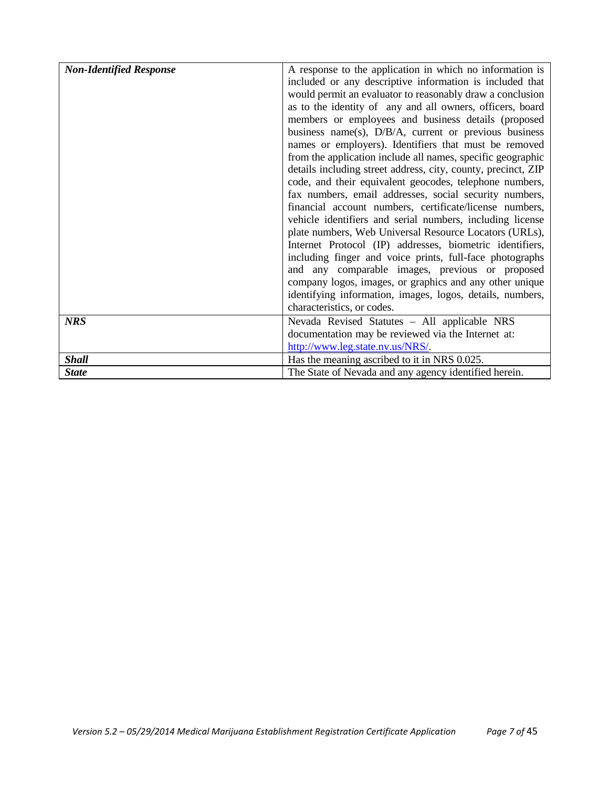| <b>Non-Identified Response</b> | A response to the application in which no information is      |
|--------------------------------|---------------------------------------------------------------|
|                                | included or any descriptive information is included that      |
|                                |                                                               |
|                                | would permit an evaluator to reasonably draw a conclusion     |
|                                | as to the identity of any and all owners, officers, board     |
|                                | members or employees and business details (proposed           |
|                                | business name(s), $D/B/A$ , current or previous business      |
|                                | names or employers). Identifiers that must be removed         |
|                                | from the application include all names, specific geographic   |
|                                | details including street address, city, county, precinct, ZIP |
|                                | code, and their equivalent geocodes, telephone numbers,       |
|                                | fax numbers, email addresses, social security numbers,        |
|                                | financial account numbers, certificate/license numbers,       |
|                                | vehicle identifiers and serial numbers, including license     |
|                                | plate numbers, Web Universal Resource Locators (URLs),        |
|                                | Internet Protocol (IP) addresses, biometric identifiers,      |
|                                | including finger and voice prints, full-face photographs      |
|                                | and any comparable images, previous or proposed               |
|                                | company logos, images, or graphics and any other unique       |
|                                | identifying information, images, logos, details, numbers,     |
|                                | characteristics, or codes.                                    |
| <b>NRS</b>                     | Nevada Revised Statutes - All applicable NRS                  |
|                                | documentation may be reviewed via the Internet at:            |
|                                | http://www.leg.state.nv.us/NRS/                               |
| <b>Shall</b>                   | Has the meaning ascribed to it in NRS 0.025.                  |
| <b>State</b>                   | The State of Nevada and any agency identified herein.         |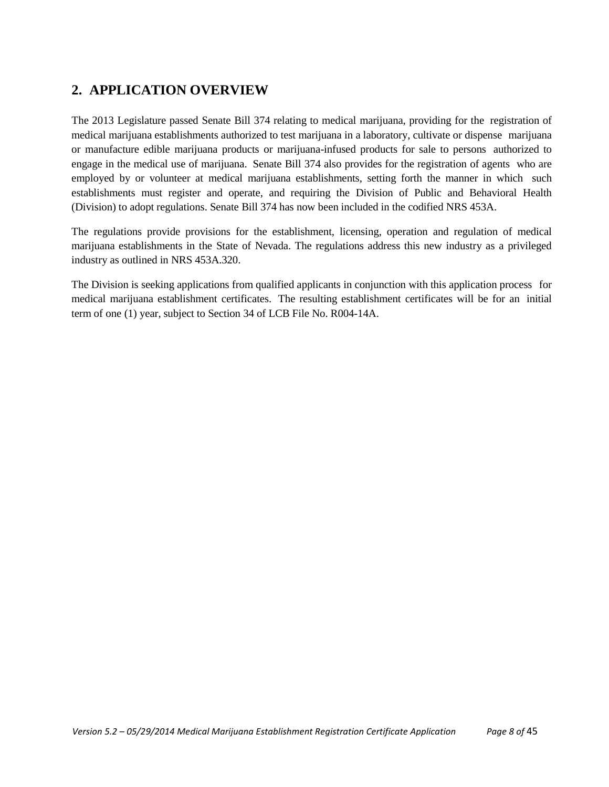# <span id="page-7-0"></span>**2. APPLICATION OVERVIEW**

The 2013 Legislature passed Senate Bill 374 relating to medical marijuana, providing for the registration of medical marijuana establishments authorized to test marijuana in a laboratory, cultivate or dispense marijuana or manufacture edible marijuana products or marijuana-infused products for sale to persons authorized to engage in the medical use of marijuana. Senate Bill 374 also provides for the registration of agents who are employed by or volunteer at medical marijuana establishments, setting forth the manner in which such establishments must register and operate, and requiring the Division of Public and Behavioral Health (Division) to adopt regulations. Senate Bill 374 has now been included in the codified NRS 453A.

The regulations provide provisions for the establishment, licensing, operation and regulation of medical marijuana establishments in the State of Nevada. The regulations address this new industry as a privileged industry as outlined in NRS 453A.320.

The Division is seeking applications from qualified applicants in conjunction with this application process for medical marijuana establishment certificates. The resulting establishment certificates will be for an initial term of one (1) year, subject to Section 34 of LCB File No. R004-14A.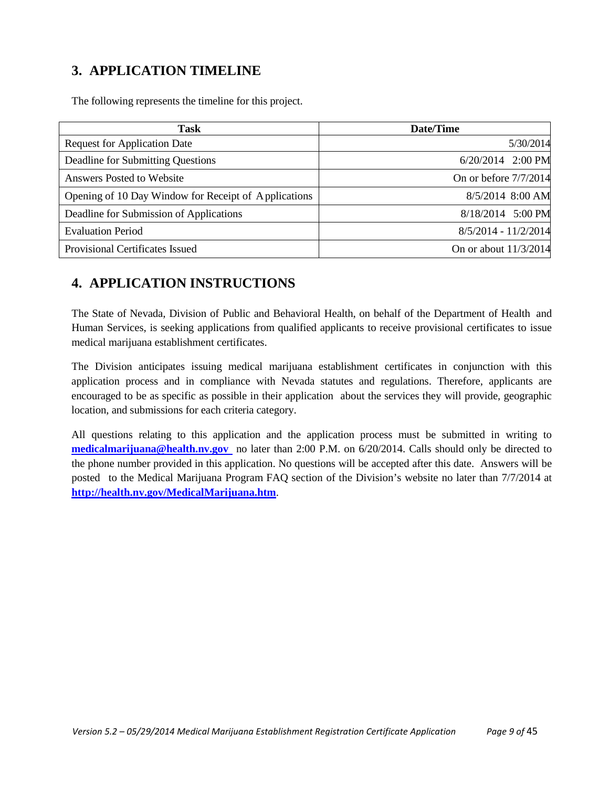# <span id="page-8-0"></span>**3. APPLICATION TIMELINE**

The following represents the timeline for this project.

| Task                                                 | Date/Time             |
|------------------------------------------------------|-----------------------|
| <b>Request for Application Date</b>                  | 5/30/2014             |
| Deadline for Submitting Questions                    | 6/20/2014 2:00 PM     |
| <b>Answers Posted to Website</b>                     | On or before 7/7/2014 |
| Opening of 10 Day Window for Receipt of Applications | 8/5/2014 8:00 AM      |
| Deadline for Submission of Applications              | 8/18/2014 5:00 PM     |
| <b>Evaluation Period</b>                             | 8/5/2014 - 11/2/2014  |
| Provisional Certificates Issued                      | On or about 11/3/2014 |

# <span id="page-8-1"></span>**4. APPLICATION INSTRUCTIONS**

The State of Nevada, Division of Public and Behavioral Health, on behalf of the Department of Health and Human Services, is seeking applications from qualified applicants to receive provisional certificates to issue medical marijuana establishment certificates.

The Division anticipates issuing medical marijuana establishment certificates in conjunction with this application process and in compliance with Nevada statutes and regulations. Therefore, applicants are encouraged to be as specific as possible in their application about the services they will provide, geographic location, and submissions for each criteria category.

All questions relating to this application and the application process must be submitted in writing to **[medicalmarijuana@health.nv.gov](mailto:medicalmarijuana@health.nv.gov)** no later than 2:00 P.M. on 6/20/2014. Calls should only be directed to the phone number provided in this application. No questions will be accepted after this date. Answers will be posted to the Medical Marijuana Program FAQ section of the Division's website no later than 7/7/2014 at **<http://health.nv.gov/MedicalMarijuana.htm>**.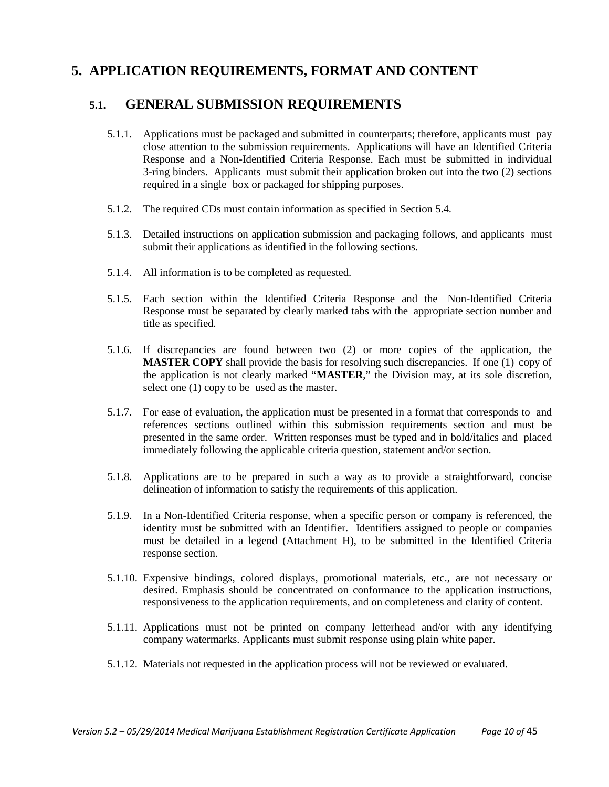# <span id="page-9-0"></span>**5. APPLICATION REQUIREMENTS, FORMAT AND CONTENT**

## **5.1. GENERAL SUBMISSION REQUIREMENTS**

- 5.1.1. Applications must be packaged and submitted in counterparts; therefore, applicants must pay close attention to the submission requirements. Applications will have an Identified Criteria Response and a Non-Identified Criteria Response. Each must be submitted in individual 3-ring binders. Applicants must submit their application broken out into the two (2) sections required in a single box or packaged for shipping purposes.
- 5.1.2. The required CDs must contain information as specified in Section 5.4.
- 5.1.3. Detailed instructions on application submission and packaging follows, and applicants must submit their applications as identified in the following sections.
- 5.1.4. All information is to be completed as requested.
- 5.1.5. Each section within the Identified Criteria Response and the Non-Identified Criteria Response must be separated by clearly marked tabs with the appropriate section number and title as specified.
- 5.1.6. If discrepancies are found between two (2) or more copies of the application, the **MASTER COPY** shall provide the basis for resolving such discrepancies. If one (1) copy of the application is not clearly marked "**MASTER**," the Division may, at its sole discretion, select one (1) copy to be used as the master.
- 5.1.7. For ease of evaluation, the application must be presented in a format that corresponds to and references sections outlined within this submission requirements section and must be presented in the same order. Written responses must be typed and in bold/italics and placed immediately following the applicable criteria question, statement and/or section.
- 5.1.8. Applications are to be prepared in such a way as to provide a straightforward, concise delineation of information to satisfy the requirements of this application.
- 5.1.9. In a Non-Identified Criteria response, when a specific person or company is referenced, the identity must be submitted with an Identifier. Identifiers assigned to people or companies must be detailed in a legend (Attachment H), to be submitted in the Identified Criteria response section.
- 5.1.10. Expensive bindings, colored displays, promotional materials, etc., are not necessary or desired. Emphasis should be concentrated on conformance to the application instructions, responsiveness to the application requirements, and on completeness and clarity of content.
- 5.1.11. Applications must not be printed on company letterhead and/or with any identifying company watermarks. Applicants must submit response using plain white paper.
- 5.1.12. Materials not requested in the application process will not be reviewed or evaluated.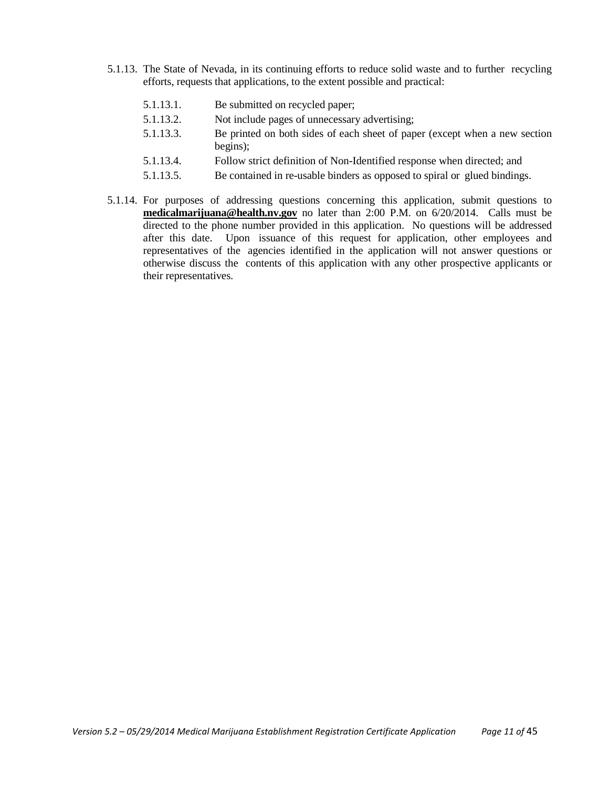- 5.1.13. The State of Nevada, in its continuing efforts to reduce solid waste and to further recycling efforts, requests that applications, to the extent possible and practical:
	- 5.1.13.1. Be submitted on recycled paper;
	- 5.1.13.2. Not include pages of unnecessary advertising;
	- 5.1.13.3. Be printed on both sides of each sheet of paper (except when a new section begins);
	- 5.1.13.4. Follow strict definition of Non-Identified response when directed; and
	- 5.1.13.5. Be contained in re-usable binders as opposed to spiral or glued bindings.
- 5.1.14. For purposes of addressing questions concerning this application, submit questions to **[medicalmarijuana@health.nv.gov](mailto:medicalmarijuana@health.nv.gov)** no later than 2:00 P.M. on 6/20/2014. Calls must be directed to the phone number provided in this application. No questions will be addressed after this date. Upon issuance of this request for application, other employees and representatives of the agencies identified in the application will not answer questions or otherwise discuss the contents of this application with any other prospective applicants or their representatives.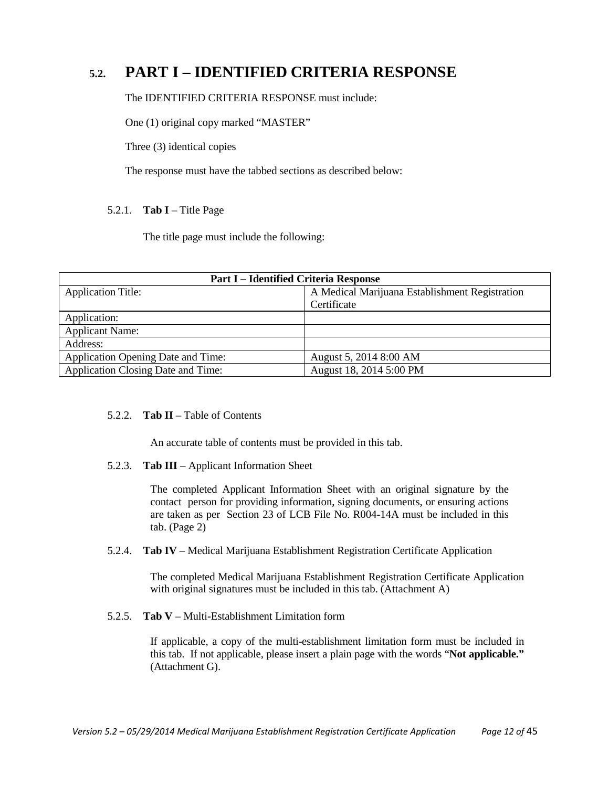# **5.2. PART I – IDENTIFIED CRITERIA RESPONSE**

The IDENTIFIED CRITERIA RESPONSE must include:

One (1) original copy marked "MASTER"

Three (3) identical copies

The response must have the tabbed sections as described below:

#### 5.2.1. **Tab I** – Title Page

The title page must include the following:

| <b>Part I – Identified Criteria Response</b> |                                                |  |
|----------------------------------------------|------------------------------------------------|--|
| <b>Application Title:</b>                    | A Medical Marijuana Establishment Registration |  |
|                                              | Certificate                                    |  |
| Application:                                 |                                                |  |
| <b>Applicant Name:</b>                       |                                                |  |
| Address:                                     |                                                |  |
| <b>Application Opening Date and Time:</b>    | August 5, 2014 8:00 AM                         |  |
| <b>Application Closing Date and Time:</b>    | August 18, 2014 5:00 PM                        |  |

#### 5.2.2. **Tab II** – Table of Contents

An accurate table of contents must be provided in this tab.

#### 5.2.3. **Tab III** – Applicant Information Sheet

The completed Applicant Information Sheet with an original signature by the contact person for providing information, signing documents, or ensuring actions are taken as per Section 23 of LCB File No. R004-14A must be included in this tab. (Page 2)

#### 5.2.4. **Tab IV** – Medical Marijuana Establishment Registration Certificate Application

The completed Medical Marijuana Establishment Registration Certificate Application with original signatures must be included in this tab. (Attachment A)

#### 5.2.5. **Tab V** – Multi-Establishment Limitation form

If applicable, a copy of the multi-establishment limitation form must be included in this tab. If not applicable, please insert a plain page with the words "**Not applicable."** (Attachment G).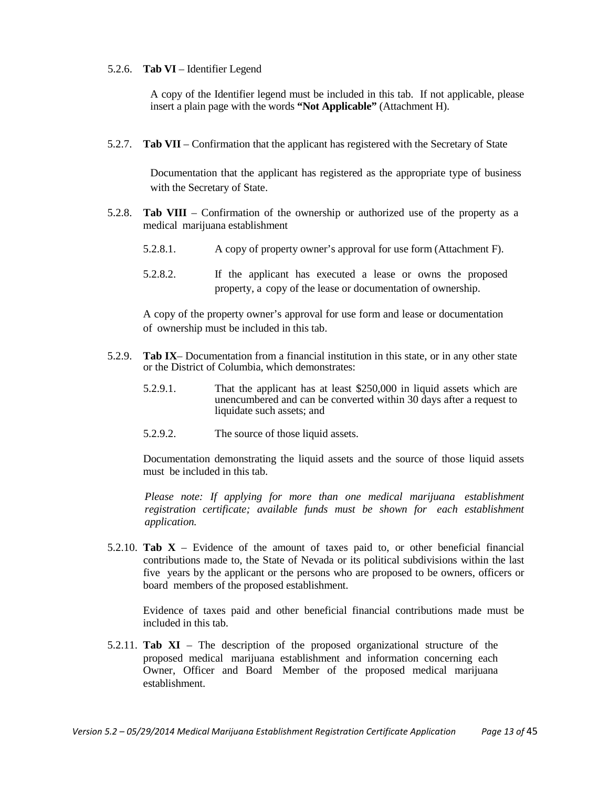#### 5.2.6. **Tab VI** – Identifier Legend

A copy of the Identifier legend must be included in this tab. If not applicable, please insert a plain page with the words **"Not Applicable"** (Attachment H).

5.2.7. **Tab VII** – Confirmation that the applicant has registered with the Secretary of State

Documentation that the applicant has registered as the appropriate type of business with the Secretary of State.

- 5.2.8. **Tab VIII** Confirmation of the ownership or authorized use of the property as a medical marijuana establishment
	- 5.2.8.1. A copy of property owner's approval for use form (Attachment F).
	- 5.2.8.2. If the applicant has executed a lease or owns the proposed property, a copy of the lease or documentation of ownership.

A copy of the property owner's approval for use form and lease or documentation of ownership must be included in this tab.

- 5.2.9. **Tab IX** Documentation from a financial institution in this state, or in any other state or the District of Columbia, which demonstrates:
	- 5.2.9.1. That the applicant has at least \$250,000 in liquid assets which are unencumbered and can be converted within 30 days after a request to liquidate such assets; and
	- 5.2.9.2. The source of those liquid assets.

Documentation demonstrating the liquid assets and the source of those liquid assets must be included in this tab.

*Please note: If applying for more than one medical marijuana establishment registration certificate; available funds must be shown for each establishment application.*

5.2.10. **Tab X** – Evidence of the amount of taxes paid to, or other beneficial financial contributions made to, the State of Nevada or its political subdivisions within the last five years by the applicant or the persons who are proposed to be owners, officers or board members of the proposed establishment.

Evidence of taxes paid and other beneficial financial contributions made must be included in this tab.

5.2.11. **Tab XI** – The description of the proposed organizational structure of the proposed medical marijuana establishment and information concerning each Owner, Officer and Board Member of the proposed medical marijuana establishment.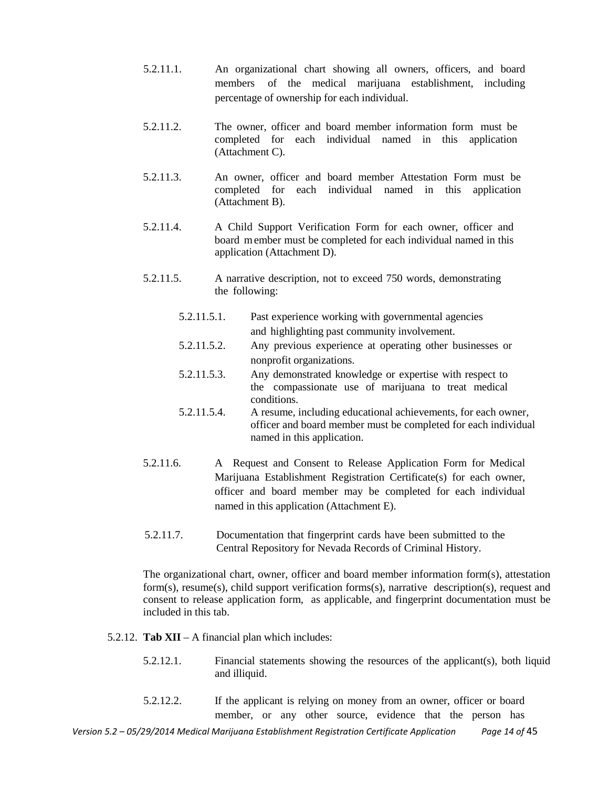- 5.2.11.1. An organizational chart showing all owners, officers, and board members of the medical marijuana establishment, including percentage of ownership for each individual.
- 5.2.11.2. The owner, officer and board member information form must be completed for each individual named in this application (Attachment C).
- 5.2.11.3. An owner, officer and board member Attestation Form must be completed for each individual named in this application (Attachment B).
- 5.2.11.4. A Child Support Verification Form for each owner, officer and board member must be completed for each individual named in this application (Attachment D).
- 5.2.11.5. A narrative description, not to exceed 750 words, demonstrating the following:
	- 5.2.11.5.1. Past experience working with governmental agencies and highlighting past community involvement.
	- 5.2.11.5.2. Any previous experience at operating other businesses or nonprofit organizations.
	- 5.2.11.5.3. Any demonstrated knowledge or expertise with respect to the compassionate use of marijuana to treat medical conditions.
	- 5.2.11.5.4. A resume, including educational achievements, for each owner, officer and board member must be completed for each individual named in this application.
- 5.2.11.6. A Request and Consent to Release Application Form for Medical Marijuana Establishment Registration Certificate(s) for each owner, officer and board member may be completed for each individual named in this application (Attachment E).
- 5.2.11.7. Documentation that fingerprint cards have been submitted to the Central Repository for Nevada Records of Criminal History.

The organizational chart, owner, officer and board member information form(s), attestation form(s), resume(s), child support verification forms(s), narrative description(s), request and consent to release application form, as applicable, and fingerprint documentation must be included in this tab.

- 5.2.12. **Tab XII** A financial plan which includes:
	- 5.2.12.1. Financial statements showing the resources of the applicant(s), both liquid and illiquid.
	- 5.2.12.2. If the applicant is relying on money from an owner, officer or board member, or any other source, evidence that the person has

*Version 5.2 – 05/29/2014 Medical Marijuana Establishment Registration Certificate Application Page 14 of* 45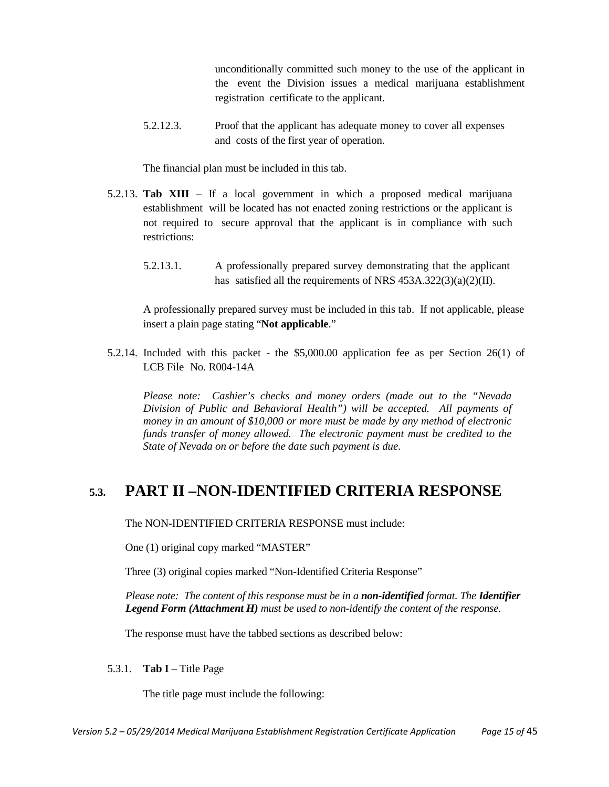unconditionally committed such money to the use of the applicant in the event the Division issues a medical marijuana establishment registration certificate to the applicant.

5.2.12.3. Proof that the applicant has adequate money to cover all expenses and costs of the first year of operation.

The financial plan must be included in this tab.

- 5.2.13. **Tab XIII** If a local government in which a proposed medical marijuana establishment will be located has not enacted zoning restrictions or the applicant is not required to secure approval that the applicant is in compliance with such restrictions:
	- 5.2.13.1. A professionally prepared survey demonstrating that the applicant has satisfied all the requirements of NRS 453A.322(3)(a)(2)(II).

A professionally prepared survey must be included in this tab. If not applicable, please insert a plain page stating "**Not applicable**."

5.2.14. Included with this packet - the \$5,000.00 application fee as per Section 26(1) of LCB File No. R004-14A

*Please note: Cashier's checks and money orders (made out to the "Nevada Division of Public and Behavioral Health") will be accepted. All payments of money in an amount of \$10,000 or more must be made by any method of electronic funds transfer of money allowed. The electronic payment must be credited to the State of Nevada on or before the date such payment is due.*

# **5.3. PART II –NON-IDENTIFIED CRITERIA RESPONSE**

The NON-IDENTIFIED CRITERIA RESPONSE must include:

One (1) original copy marked "MASTER"

Three (3) original copies marked "Non-Identified Criteria Response"

*Please note: The content of this response must be in a non-identified format. The Identifier Legend Form (Attachment H) must be used to non-identify the content of the response.*

The response must have the tabbed sections as described below:

#### 5.3.1. **Tab I** – Title Page

The title page must include the following: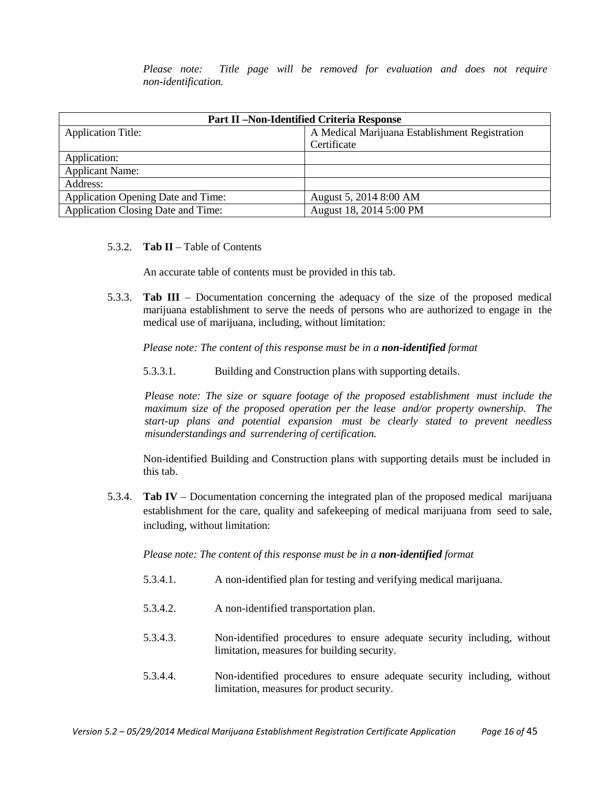*Please note: Title page will be removed for evaluation and does not require non-identification.*

| <b>Part II-Non-Identified Criteria Response</b> |                                                |  |
|-------------------------------------------------|------------------------------------------------|--|
| <b>Application Title:</b>                       | A Medical Marijuana Establishment Registration |  |
|                                                 | Certificate                                    |  |
| Application:                                    |                                                |  |
| <b>Applicant Name:</b>                          |                                                |  |
| Address:                                        |                                                |  |
| Application Opening Date and Time:              | August 5, 2014 8:00 AM                         |  |
| Application Closing Date and Time:              | August 18, 2014 5:00 PM                        |  |

#### 5.3.2. **Tab II** – Table of Contents

An accurate table of contents must be provided in this tab.

5.3.3. **Tab III** – Documentation concerning the adequacy of the size of the proposed medical marijuana establishment to serve the needs of persons who are authorized to engage in the medical use of marijuana, including, without limitation:

*Please note: The content of this response must be in a non-identified format*

5.3.3.1. Building and Construction plans with supporting details.

*Please note: The size or square footage of the proposed establishment must include the maximum size of the proposed operation per the lease and/or property ownership. The start-up plans and potential expansion must be clearly stated to prevent needless misunderstandings and surrendering of certification.*

Non-identified Building and Construction plans with supporting details must be included in this tab.

5.3.4. **Tab IV** – Documentation concerning the integrated plan of the proposed medical marijuana establishment for the care, quality and safekeeping of medical marijuana from seed to sale, including, without limitation:

*Please note: The content of this response must be in a non-identified format*

- 5.3.4.1. A non-identified plan for testing and verifying medical marijuana.
- 5.3.4.2. A non-identified transportation plan.
- 5.3.4.3. Non-identified procedures to ensure adequate security including, without limitation, measures for building security.
- 5.3.4.4. Non-identified procedures to ensure adequate security including, without limitation, measures for product security.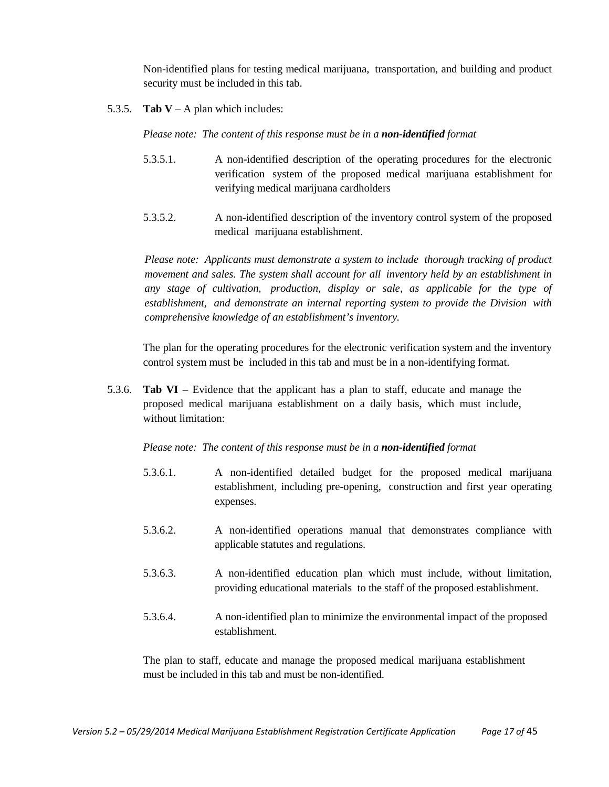Non-identified plans for testing medical marijuana, transportation, and building and product security must be included in this tab.

5.3.5. **Tab V** – A plan which includes:

*Please note: The content of this response must be in a non-identified format*

- 5.3.5.1. A non-identified description of the operating procedures for the electronic verification system of the proposed medical marijuana establishment for verifying medical marijuana cardholders
- 5.3.5.2. A non-identified description of the inventory control system of the proposed medical marijuana establishment.

*Please note: Applicants must demonstrate a system to include thorough tracking of product movement and sales. The system shall account for all inventory held by an establishment in any stage of cultivation, production, display or sale, as applicable for the type of establishment, and demonstrate an internal reporting system to provide the Division with comprehensive knowledge of an establishment's inventory.*

The plan for the operating procedures for the electronic verification system and the inventory control system must be included in this tab and must be in a non-identifying format.

5.3.6. **Tab VI** – Evidence that the applicant has a plan to staff, educate and manage the proposed medical marijuana establishment on a daily basis, which must include, without limitation:

#### *Please note: The content of this response must be in a non-identified format*

- 5.3.6.1. A non-identified detailed budget for the proposed medical marijuana establishment, including pre-opening, construction and first year operating expenses.
- 5.3.6.2. A non-identified operations manual that demonstrates compliance with applicable statutes and regulations.
- 5.3.6.3. A non-identified education plan which must include, without limitation, providing educational materials to the staff of the proposed establishment.
- 5.3.6.4. A non-identified plan to minimize the environmental impact of the proposed establishment.

The plan to staff, educate and manage the proposed medical marijuana establishment must be included in this tab and must be non-identified.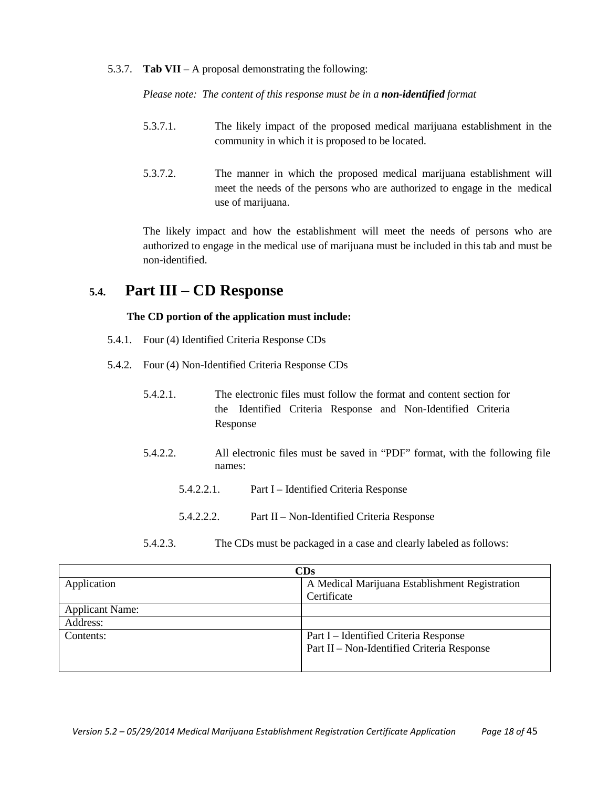5.3.7. **Tab VII** – A proposal demonstrating the following:

*Please note: The content of this response must be in a non-identified format*

- 5.3.7.1. The likely impact of the proposed medical marijuana establishment in the community in which it is proposed to be located.
- 5.3.7.2. The manner in which the proposed medical marijuana establishment will meet the needs of the persons who are authorized to engage in the medical use of marijuana.

The likely impact and how the establishment will meet the needs of persons who are authorized to engage in the medical use of marijuana must be included in this tab and must be non-identified.

# **5.4. Part III – CD Response**

#### **The CD portion of the application must include:**

- 5.4.1. Four (4) Identified Criteria Response CDs
- 5.4.2. Four (4) Non-Identified Criteria Response CDs
	- 5.4.2.1. The electronic files must follow the format and content section for the Identified Criteria Response and Non-Identified Criteria Response
	- 5.4.2.2. All electronic files must be saved in "PDF" format, with the following file names:
		- 5.4.2.2.1. Part I Identified Criteria Response
		- 5.4.2.2.2. Part II Non-Identified Criteria Response
	- 5.4.2.3. The CDs must be packaged in a case and clearly labeled as follows:

| $\mathbf{C}\mathbf{D}\mathbf{s}$ |                                                |
|----------------------------------|------------------------------------------------|
| Application                      | A Medical Marijuana Establishment Registration |
|                                  | Certificate                                    |
| <b>Applicant Name:</b>           |                                                |
| Address:                         |                                                |
| Contents:                        | Part I – Identified Criteria Response          |
|                                  | Part II – Non-Identified Criteria Response     |
|                                  |                                                |
|                                  |                                                |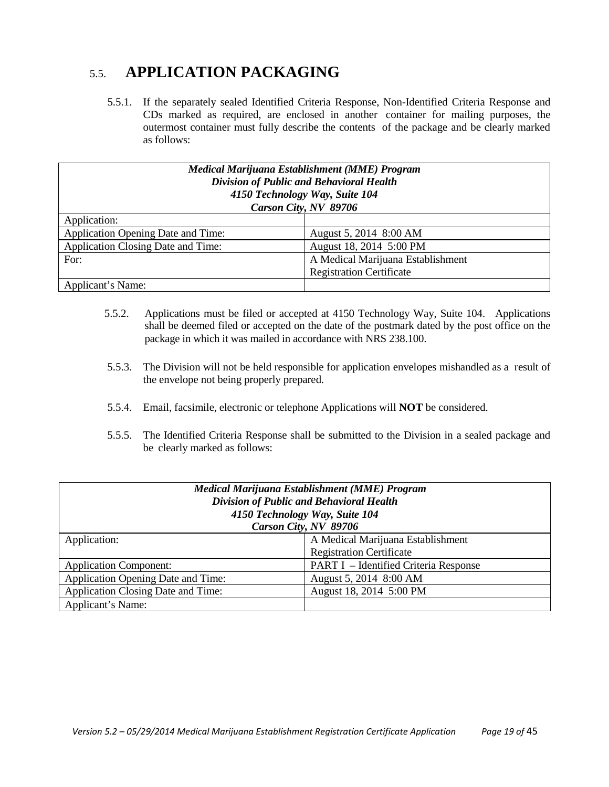# 5.5. **APPLICATION PACKAGING**

5.5.1. If the separately sealed Identified Criteria Response, Non-Identified Criteria Response and CDs marked as required, are enclosed in another container for mailing purposes, the outermost container must fully describe the contents of the package and be clearly marked as follows:

| Medical Marijuana Establishment (MME) Program<br>Division of Public and Behavioral Health<br>4150 Technology Way, Suite 104<br>Carson City, NV 89706 |                                   |  |
|------------------------------------------------------------------------------------------------------------------------------------------------------|-----------------------------------|--|
| Application:                                                                                                                                         |                                   |  |
| Application Opening Date and Time:                                                                                                                   | August 5, 2014 8:00 AM            |  |
| Application Closing Date and Time:                                                                                                                   | August 18, 2014 5:00 PM           |  |
| For:                                                                                                                                                 | A Medical Marijuana Establishment |  |
|                                                                                                                                                      | <b>Registration Certificate</b>   |  |
| Applicant's Name:                                                                                                                                    |                                   |  |

- 5.5.2. Applications must be filed or accepted at 4150 Technology Way, Suite 104. Applications shall be deemed filed or accepted on the date of the postmark dated by the post office on the package in which it was mailed in accordance with NRS 238.100.
- 5.5.3. The Division will not be held responsible for application envelopes mishandled as a result of the envelope not being properly prepared.
- 5.5.4. Email, facsimile, electronic or telephone Applications will **NOT** be considered.
- 5.5.5. The Identified Criteria Response shall be submitted to the Division in a sealed package and be clearly marked as follows:

| Medical Marijuana Establishment (MME) Program<br>Division of Public and Behavioral Health<br>4150 Technology Way, Suite 104<br>Carson City, NV 89706 |                                       |  |
|------------------------------------------------------------------------------------------------------------------------------------------------------|---------------------------------------|--|
| Application:                                                                                                                                         | A Medical Marijuana Establishment     |  |
|                                                                                                                                                      | <b>Registration Certificate</b>       |  |
| <b>Application Component:</b>                                                                                                                        | PART I - Identified Criteria Response |  |
| <b>Application Opening Date and Time:</b>                                                                                                            | August 5, 2014 8:00 AM                |  |
| Application Closing Date and Time:                                                                                                                   | August 18, 2014 5:00 PM               |  |
| Applicant's Name:                                                                                                                                    |                                       |  |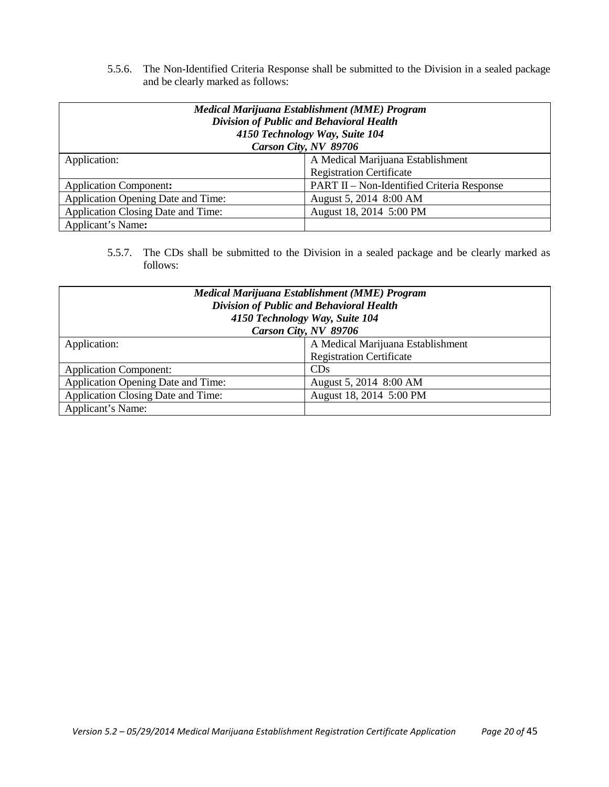5.5.6. The Non-Identified Criteria Response shall be submitted to the Division in a sealed package and be clearly marked as follows:

| Medical Marijuana Establishment (MME) Program<br>Division of Public and Behavioral Health<br>4150 Technology Way, Suite 104 |                                            |  |  |
|-----------------------------------------------------------------------------------------------------------------------------|--------------------------------------------|--|--|
|                                                                                                                             | Carson City, NV 89706                      |  |  |
| Application:                                                                                                                | A Medical Marijuana Establishment          |  |  |
|                                                                                                                             | <b>Registration Certificate</b>            |  |  |
| <b>Application Component:</b>                                                                                               | PART II – Non-Identified Criteria Response |  |  |
| Application Opening Date and Time:                                                                                          | August 5, 2014 8:00 AM                     |  |  |
| Application Closing Date and Time:                                                                                          | August 18, 2014 5:00 PM                    |  |  |
| Applicant's Name:                                                                                                           |                                            |  |  |

5.5.7. The CDs shall be submitted to the Division in a sealed package and be clearly marked as follows:

| Medical Marijuana Establishment (MME) Program<br>Division of Public and Behavioral Health |                                   |  |  |  |
|-------------------------------------------------------------------------------------------|-----------------------------------|--|--|--|
|                                                                                           | 4150 Technology Way, Suite 104    |  |  |  |
|                                                                                           | Carson City, NV 89706             |  |  |  |
| Application:                                                                              | A Medical Marijuana Establishment |  |  |  |
|                                                                                           | <b>Registration Certificate</b>   |  |  |  |
| <b>Application Component:</b>                                                             | CDs                               |  |  |  |
| Application Opening Date and Time:                                                        | August 5, 2014 8:00 AM            |  |  |  |
| Application Closing Date and Time:                                                        | August 18, 2014 5:00 PM           |  |  |  |
| Applicant's Name:                                                                         |                                   |  |  |  |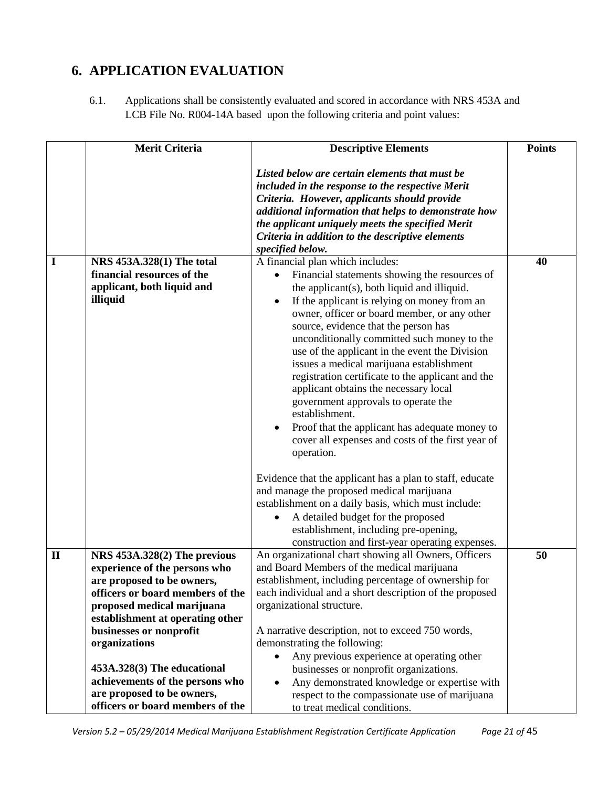# <span id="page-20-0"></span>**6. APPLICATION EVALUATION**

6.1. Applications shall be consistently evaluated and scored in accordance with NRS 453A and LCB File No. R004-14A based upon the following criteria and point values:

|              | <b>Merit Criteria</b>                                                                        | <b>Descriptive Elements</b>                                                                                                                                                                                                                                                                                                                                                                                                                                                                                                                                                                                                                                  | <b>Points</b> |
|--------------|----------------------------------------------------------------------------------------------|--------------------------------------------------------------------------------------------------------------------------------------------------------------------------------------------------------------------------------------------------------------------------------------------------------------------------------------------------------------------------------------------------------------------------------------------------------------------------------------------------------------------------------------------------------------------------------------------------------------------------------------------------------------|---------------|
|              |                                                                                              | Listed below are certain elements that must be<br>included in the response to the respective Merit<br>Criteria. However, applicants should provide<br>additional information that helps to demonstrate how<br>the applicant uniquely meets the specified Merit<br>Criteria in addition to the descriptive elements<br>specified below.                                                                                                                                                                                                                                                                                                                       |               |
| I            | NRS 453A.328(1) The total                                                                    | A financial plan which includes:                                                                                                                                                                                                                                                                                                                                                                                                                                                                                                                                                                                                                             | 40            |
|              | financial resources of the<br>applicant, both liquid and<br>illiquid                         | Financial statements showing the resources of<br>the applicant(s), both liquid and illiquid.<br>If the applicant is relying on money from an<br>$\bullet$<br>owner, officer or board member, or any other<br>source, evidence that the person has<br>unconditionally committed such money to the<br>use of the applicant in the event the Division<br>issues a medical marijuana establishment<br>registration certificate to the applicant and the<br>applicant obtains the necessary local<br>government approvals to operate the<br>establishment.<br>Proof that the applicant has adequate money to<br>cover all expenses and costs of the first year of |               |
|              |                                                                                              | operation.<br>Evidence that the applicant has a plan to staff, educate<br>and manage the proposed medical marijuana<br>establishment on a daily basis, which must include:<br>A detailed budget for the proposed<br>establishment, including pre-opening,<br>construction and first-year operating expenses.                                                                                                                                                                                                                                                                                                                                                 |               |
| $\mathbf{I}$ | NRS 453A.328(2) The previous<br>experience of the persons who                                | An organizational chart showing all Owners, Officers<br>and Board Members of the medical marijuana                                                                                                                                                                                                                                                                                                                                                                                                                                                                                                                                                           | 50            |
|              | are proposed to be owners,<br>officers or board members of the                               | establishment, including percentage of ownership for<br>each individual and a short description of the proposed                                                                                                                                                                                                                                                                                                                                                                                                                                                                                                                                              |               |
|              | proposed medical marijuana                                                                   | organizational structure.                                                                                                                                                                                                                                                                                                                                                                                                                                                                                                                                                                                                                                    |               |
|              | establishment at operating other                                                             |                                                                                                                                                                                                                                                                                                                                                                                                                                                                                                                                                                                                                                                              |               |
|              | businesses or nonprofit                                                                      | A narrative description, not to exceed 750 words,                                                                                                                                                                                                                                                                                                                                                                                                                                                                                                                                                                                                            |               |
|              | organizations                                                                                | demonstrating the following:                                                                                                                                                                                                                                                                                                                                                                                                                                                                                                                                                                                                                                 |               |
|              | 453A.328(3) The educational<br>achievements of the persons who<br>are proposed to be owners, | Any previous experience at operating other<br>businesses or nonprofit organizations.<br>Any demonstrated knowledge or expertise with<br>$\bullet$<br>respect to the compassionate use of marijuana                                                                                                                                                                                                                                                                                                                                                                                                                                                           |               |
|              | officers or board members of the                                                             | to treat medical conditions.                                                                                                                                                                                                                                                                                                                                                                                                                                                                                                                                                                                                                                 |               |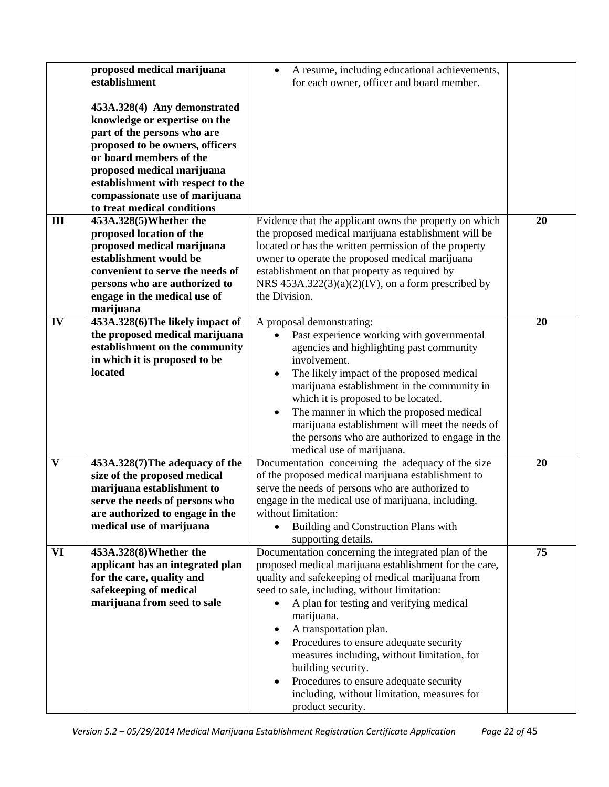|              | proposed medical marijuana        | A resume, including educational achievements,<br>$\bullet$ |    |
|--------------|-----------------------------------|------------------------------------------------------------|----|
|              | establishment                     | for each owner, officer and board member.                  |    |
|              |                                   |                                                            |    |
|              | 453A.328(4) Any demonstrated      |                                                            |    |
|              | knowledge or expertise on the     |                                                            |    |
|              | part of the persons who are       |                                                            |    |
|              | proposed to be owners, officers   |                                                            |    |
|              | or board members of the           |                                                            |    |
|              | proposed medical marijuana        |                                                            |    |
|              | establishment with respect to the |                                                            |    |
|              | compassionate use of marijuana    |                                                            |    |
|              | to treat medical conditions       |                                                            |    |
| III          | 453A.328(5) Whether the           | Evidence that the applicant owns the property on which     | 20 |
|              |                                   |                                                            |    |
|              | proposed location of the          | the proposed medical marijuana establishment will be       |    |
|              | proposed medical marijuana        | located or has the written permission of the property      |    |
|              | establishment would be            | owner to operate the proposed medical marijuana            |    |
|              | convenient to serve the needs of  | establishment on that property as required by              |    |
|              | persons who are authorized to     | NRS $453A.322(3)(a)(2)(IV)$ , on a form prescribed by      |    |
|              | engage in the medical use of      | the Division.                                              |    |
|              | marijuana                         |                                                            |    |
| IV           | 453A.328(6)The likely impact of   | A proposal demonstrating:                                  | 20 |
|              | the proposed medical marijuana    | Past experience working with governmental                  |    |
|              | establishment on the community    | agencies and highlighting past community                   |    |
|              | in which it is proposed to be     | involvement.                                               |    |
|              | located                           | The likely impact of the proposed medical<br>٠             |    |
|              |                                   | marijuana establishment in the community in                |    |
|              |                                   | which it is proposed to be located.                        |    |
|              |                                   |                                                            |    |
|              |                                   | The manner in which the proposed medical                   |    |
|              |                                   | marijuana establishment will meet the needs of             |    |
|              |                                   | the persons who are authorized to engage in the            |    |
|              |                                   | medical use of marijuana.                                  |    |
| $\mathbf{V}$ | 453A.328(7) The adequacy of the   | Documentation concerning the adequacy of the size          | 20 |
|              | size of the proposed medical      | of the proposed medical marijuana establishment to         |    |
|              | marijuana establishment to        | serve the needs of persons who are authorized to           |    |
|              | serve the needs of persons who    | engage in the medical use of marijuana, including,         |    |
|              | are authorized to engage in the   | without limitation:                                        |    |
|              | medical use of marijuana          | Building and Construction Plans with                       |    |
|              |                                   | supporting details.                                        |    |
| VI           | 453A.328(8) Whether the           | Documentation concerning the integrated plan of the        | 75 |
|              | applicant has an integrated plan  | proposed medical marijuana establishment for the care,     |    |
|              | for the care, quality and         | quality and safekeeping of medical marijuana from          |    |
|              | safekeeping of medical            | seed to sale, including, without limitation:               |    |
|              | marijuana from seed to sale       | A plan for testing and verifying medical                   |    |
|              |                                   | marijuana.                                                 |    |
|              |                                   |                                                            |    |
|              |                                   | A transportation plan.<br>٠                                |    |
|              |                                   | Procedures to ensure adequate security                     |    |
|              |                                   | measures including, without limitation, for                |    |
|              |                                   | building security.                                         |    |
|              |                                   | Procedures to ensure adequate security<br>٠                |    |
|              |                                   | including, without limitation, measures for                |    |
|              |                                   | product security.                                          |    |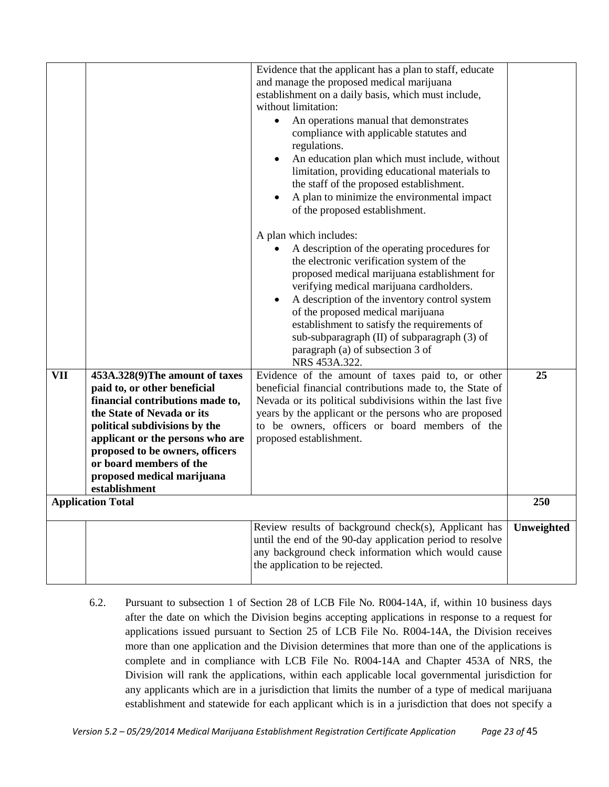|     |                                                                     | Evidence that the applicant has a plan to staff, educate<br>and manage the proposed medical marijuana<br>establishment on a daily basis, which must include,<br>without limitation:<br>An operations manual that demonstrates<br>compliance with applicable statutes and<br>regulations.<br>An education plan which must include, without<br>$\bullet$<br>limitation, providing educational materials to<br>the staff of the proposed establishment.<br>A plan to minimize the environmental impact<br>of the proposed establishment.<br>A plan which includes:<br>A description of the operating procedures for<br>$\bullet$<br>the electronic verification system of the<br>proposed medical marijuana establishment for<br>verifying medical marijuana cardholders.<br>A description of the inventory control system<br>$\bullet$<br>of the proposed medical marijuana<br>establishment to satisfy the requirements of<br>sub-subparagraph (II) of subparagraph (3) of<br>paragraph (a) of subsection 3 of<br>NRS 453A.322. |            |
|-----|---------------------------------------------------------------------|--------------------------------------------------------------------------------------------------------------------------------------------------------------------------------------------------------------------------------------------------------------------------------------------------------------------------------------------------------------------------------------------------------------------------------------------------------------------------------------------------------------------------------------------------------------------------------------------------------------------------------------------------------------------------------------------------------------------------------------------------------------------------------------------------------------------------------------------------------------------------------------------------------------------------------------------------------------------------------------------------------------------------------|------------|
|     |                                                                     |                                                                                                                                                                                                                                                                                                                                                                                                                                                                                                                                                                                                                                                                                                                                                                                                                                                                                                                                                                                                                                | 25         |
| VII | 453A.328(9)The amount of taxes                                      | Evidence of the amount of taxes paid to, or other                                                                                                                                                                                                                                                                                                                                                                                                                                                                                                                                                                                                                                                                                                                                                                                                                                                                                                                                                                              |            |
|     | paid to, or other beneficial                                        | beneficial financial contributions made to, the State of                                                                                                                                                                                                                                                                                                                                                                                                                                                                                                                                                                                                                                                                                                                                                                                                                                                                                                                                                                       |            |
|     | financial contributions made to,                                    | Nevada or its political subdivisions within the last five                                                                                                                                                                                                                                                                                                                                                                                                                                                                                                                                                                                                                                                                                                                                                                                                                                                                                                                                                                      |            |
|     | the State of Nevada or its                                          | years by the applicant or the persons who are proposed<br>to be owners, officers or board members of the                                                                                                                                                                                                                                                                                                                                                                                                                                                                                                                                                                                                                                                                                                                                                                                                                                                                                                                       |            |
|     | political subdivisions by the                                       | proposed establishment.                                                                                                                                                                                                                                                                                                                                                                                                                                                                                                                                                                                                                                                                                                                                                                                                                                                                                                                                                                                                        |            |
|     | applicant or the persons who are<br>proposed to be owners, officers |                                                                                                                                                                                                                                                                                                                                                                                                                                                                                                                                                                                                                                                                                                                                                                                                                                                                                                                                                                                                                                |            |
|     | or board members of the                                             |                                                                                                                                                                                                                                                                                                                                                                                                                                                                                                                                                                                                                                                                                                                                                                                                                                                                                                                                                                                                                                |            |
|     | proposed medical marijuana                                          |                                                                                                                                                                                                                                                                                                                                                                                                                                                                                                                                                                                                                                                                                                                                                                                                                                                                                                                                                                                                                                |            |
|     | establishment                                                       |                                                                                                                                                                                                                                                                                                                                                                                                                                                                                                                                                                                                                                                                                                                                                                                                                                                                                                                                                                                                                                |            |
|     | <b>Application Total</b>                                            |                                                                                                                                                                                                                                                                                                                                                                                                                                                                                                                                                                                                                                                                                                                                                                                                                                                                                                                                                                                                                                | 250        |
|     |                                                                     |                                                                                                                                                                                                                                                                                                                                                                                                                                                                                                                                                                                                                                                                                                                                                                                                                                                                                                                                                                                                                                |            |
|     |                                                                     | Review results of background check(s), Applicant has<br>until the end of the 90-day application period to resolve<br>any background check information which would cause<br>the application to be rejected.                                                                                                                                                                                                                                                                                                                                                                                                                                                                                                                                                                                                                                                                                                                                                                                                                     | Unweighted |

6.2. Pursuant to subsection 1 of Section 28 of LCB File No. R004-14A, if, within 10 business days after the date on which the Division begins accepting applications in response to a request for applications issued pursuant to Section 25 of LCB File No. R004-14A, the Division receives more than one application and the Division determines that more than one of the applications is complete and in compliance with LCB File No. R004-14A and Chapter 453A of NRS, the Division will rank the applications, within each applicable local governmental jurisdiction for any applicants which are in a jurisdiction that limits the number of a type of medical marijuana establishment and statewide for each applicant which is in a jurisdiction that does not specify a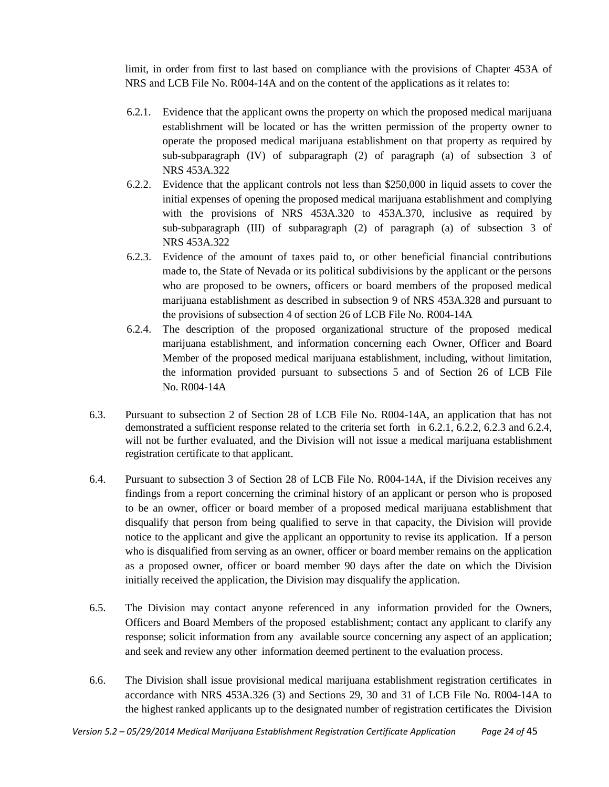limit, in order from first to last based on compliance with the provisions of Chapter 453A of NRS and LCB File No. R004-14A and on the content of the applications as it relates to:

- 6.2.1. Evidence that the applicant owns the property on which the proposed medical marijuana establishment will be located or has the written permission of the property owner to operate the proposed medical marijuana establishment on that property as required by sub-subparagraph (IV) of subparagraph (2) of paragraph (a) of subsection 3 of NRS 453A.322
- 6.2.2. Evidence that the applicant controls not less than \$250,000 in liquid assets to cover the initial expenses of opening the proposed medical marijuana establishment and complying with the provisions of NRS 453A.320 to 453A.370, inclusive as required by sub-subparagraph (III) of subparagraph (2) of paragraph (a) of subsection 3 of NRS 453A.322
- 6.2.3. Evidence of the amount of taxes paid to, or other beneficial financial contributions made to, the State of Nevada or its political subdivisions by the applicant or the persons who are proposed to be owners, officers or board members of the proposed medical marijuana establishment as described in subsection 9 of NRS 453A.328 and pursuant to the provisions of subsection 4 of section 26 of LCB File No. R004-14A
- 6.2.4. The description of the proposed organizational structure of the proposed medical marijuana establishment, and information concerning each Owner, Officer and Board Member of the proposed medical marijuana establishment, including, without limitation, the information provided pursuant to subsections 5 and of Section 26 of LCB File No. R004-14A
- 6.3. Pursuant to subsection 2 of Section 28 of LCB File No. R004-14A, an application that has not demonstrated a sufficient response related to the criteria set forth in 6.2.1, 6.2.2, 6.2.3 and 6.2.4, will not be further evaluated, and the Division will not issue a medical marijuana establishment registration certificate to that applicant.
- 6.4. Pursuant to subsection 3 of Section 28 of LCB File No. R004-14A, if the Division receives any findings from a report concerning the criminal history of an applicant or person who is proposed to be an owner, officer or board member of a proposed medical marijuana establishment that disqualify that person from being qualified to serve in that capacity, the Division will provide notice to the applicant and give the applicant an opportunity to revise its application. If a person who is disqualified from serving as an owner, officer or board member remains on the application as a proposed owner, officer or board member 90 days after the date on which the Division initially received the application, the Division may disqualify the application.
- 6.5. The Division may contact anyone referenced in any information provided for the Owners, Officers and Board Members of the proposed establishment; contact any applicant to clarify any response; solicit information from any available source concerning any aspect of an application; and seek and review any other information deemed pertinent to the evaluation process.
- 6.6. The Division shall issue provisional medical marijuana establishment registration certificates in accordance with NRS 453A.326 (3) and Sections 29, 30 and 31 of LCB File No. R004-14A to the highest ranked applicants up to the designated number of registration certificates the Division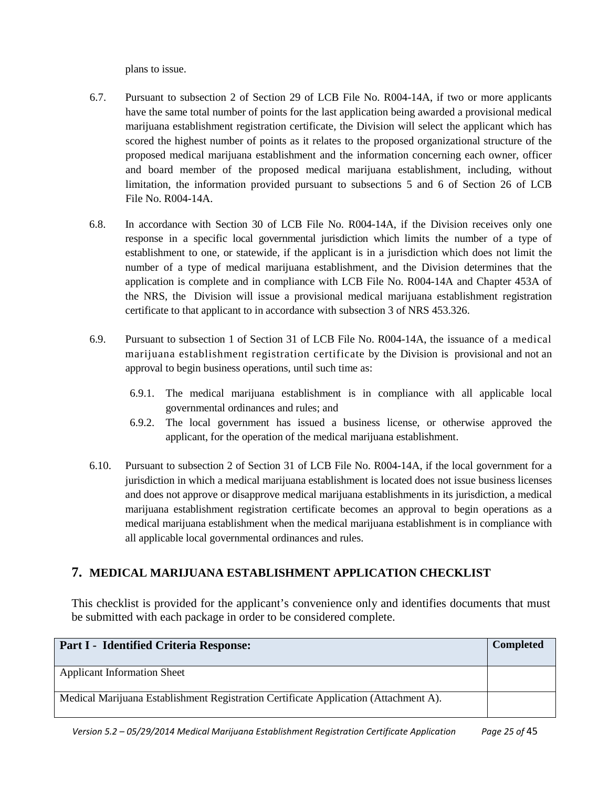plans to issue.

- 6.7. Pursuant to subsection 2 of Section 29 of LCB File No. R004-14A, if two or more applicants have the same total number of points for the last application being awarded a provisional medical marijuana establishment registration certificate, the Division will select the applicant which has scored the highest number of points as it relates to the proposed organizational structure of the proposed medical marijuana establishment and the information concerning each owner, officer and board member of the proposed medical marijuana establishment, including, without limitation, the information provided pursuant to subsections 5 and 6 of Section 26 of LCB File No. R004-14A.
- 6.8. In accordance with Section 30 of LCB File No. R004-14A, if the Division receives only one response in a specific local governmental jurisdiction which limits the number of a type of establishment to one, or statewide, if the applicant is in a jurisdiction which does not limit the number of a type of medical marijuana establishment, and the Division determines that the application is complete and in compliance with LCB File No. R004-14A and Chapter 453A of the NRS, the Division will issue a provisional medical marijuana establishment registration certificate to that applicant to in accordance with subsection 3 of NRS 453.326.
- 6.9. Pursuant to subsection 1 of Section 31 of LCB File No. R004-14A, the issuance of a medical marijuana establishment registration certificate by the Division is provisional and not an approval to begin business operations, until such time as:
	- 6.9.1. The medical marijuana establishment is in compliance with all applicable local governmental ordinances and rules; and
	- 6.9.2. The local government has issued a business license, or otherwise approved the applicant, for the operation of the medical marijuana establishment.
- 6.10. Pursuant to subsection 2 of Section 31 of LCB File No. R004-14A, if the local government for a jurisdiction in which a medical marijuana establishment is located does not issue business licenses and does not approve or disapprove medical marijuana establishments in its jurisdiction, a medical marijuana establishment registration certificate becomes an approval to begin operations as a medical marijuana establishment when the medical marijuana establishment is in compliance with all applicable local governmental ordinances and rules.

## <span id="page-24-0"></span>**7. MEDICAL MARIJUANA ESTABLISHMENT APPLICATION CHECKLIST**

This checklist is provided for the applicant's convenience only and identifies documents that must be submitted with each package in order to be considered complete.

| Part I - Identified Criteria Response:                                               | <b>Completed</b> |
|--------------------------------------------------------------------------------------|------------------|
| <b>Applicant Information Sheet</b>                                                   |                  |
| Medical Marijuana Establishment Registration Certificate Application (Attachment A). |                  |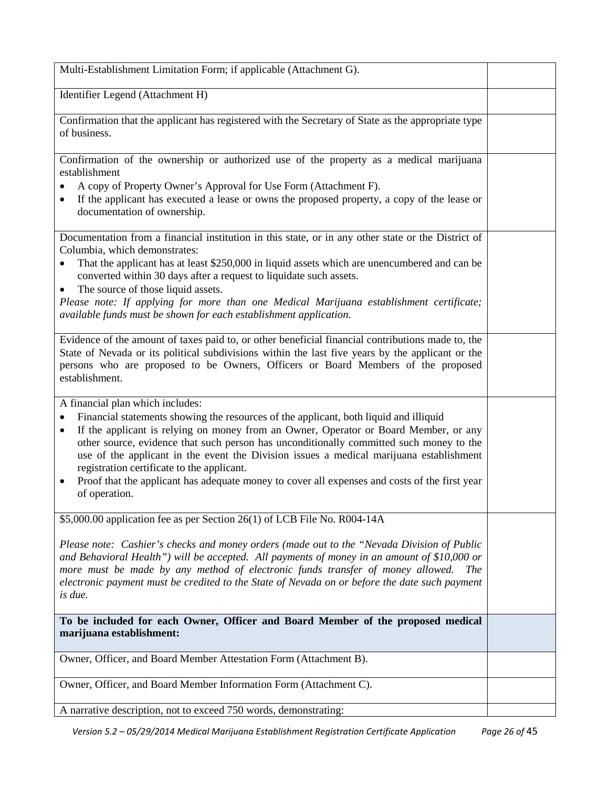| Multi-Establishment Limitation Form; if applicable (Attachment G).                                                                                                                                                                                                                                                                                                                                                                                                                                                                                                                                     |  |
|--------------------------------------------------------------------------------------------------------------------------------------------------------------------------------------------------------------------------------------------------------------------------------------------------------------------------------------------------------------------------------------------------------------------------------------------------------------------------------------------------------------------------------------------------------------------------------------------------------|--|
| Identifier Legend (Attachment H)                                                                                                                                                                                                                                                                                                                                                                                                                                                                                                                                                                       |  |
| Confirmation that the applicant has registered with the Secretary of State as the appropriate type<br>of business.                                                                                                                                                                                                                                                                                                                                                                                                                                                                                     |  |
| Confirmation of the ownership or authorized use of the property as a medical marijuana<br>establishment<br>A copy of Property Owner's Approval for Use Form (Attachment F).                                                                                                                                                                                                                                                                                                                                                                                                                            |  |
| If the applicant has executed a lease or owns the proposed property, a copy of the lease or<br>٠<br>documentation of ownership.                                                                                                                                                                                                                                                                                                                                                                                                                                                                        |  |
| Documentation from a financial institution in this state, or in any other state or the District of<br>Columbia, which demonstrates:<br>That the applicant has at least \$250,000 in liquid assets which are unencumbered and can be                                                                                                                                                                                                                                                                                                                                                                    |  |
| converted within 30 days after a request to liquidate such assets.<br>The source of those liquid assets.                                                                                                                                                                                                                                                                                                                                                                                                                                                                                               |  |
| Please note: If applying for more than one Medical Marijuana establishment certificate;<br>available funds must be shown for each establishment application.                                                                                                                                                                                                                                                                                                                                                                                                                                           |  |
| Evidence of the amount of taxes paid to, or other beneficial financial contributions made to, the<br>State of Nevada or its political subdivisions within the last five years by the applicant or the<br>persons who are proposed to be Owners, Officers or Board Members of the proposed<br>establishment.                                                                                                                                                                                                                                                                                            |  |
| A financial plan which includes:<br>Financial statements showing the resources of the applicant, both liquid and illiquid<br>٠<br>If the applicant is relying on money from an Owner, Operator or Board Member, or any<br>$\bullet$<br>other source, evidence that such person has unconditionally committed such money to the<br>use of the applicant in the event the Division issues a medical marijuana establishment<br>registration certificate to the applicant.<br>Proof that the applicant has adequate money to cover all expenses and costs of the first year<br>$\bullet$<br>of operation. |  |
| \$5,000.00 application fee as per Section 26(1) of LCB File No. R004-14A                                                                                                                                                                                                                                                                                                                                                                                                                                                                                                                               |  |
| Please note: Cashier's checks and money orders (made out to the "Nevada Division of Public<br>and Behavioral Health") will be accepted. All payments of money in an amount of \$10,000 or<br>more must be made by any method of electronic funds transfer of money allowed.<br><i>The</i><br>electronic payment must be credited to the State of Nevada on or before the date such payment<br>is due.                                                                                                                                                                                                  |  |
| To be included for each Owner, Officer and Board Member of the proposed medical<br>marijuana establishment:                                                                                                                                                                                                                                                                                                                                                                                                                                                                                            |  |
| Owner, Officer, and Board Member Attestation Form (Attachment B).                                                                                                                                                                                                                                                                                                                                                                                                                                                                                                                                      |  |
| Owner, Officer, and Board Member Information Form (Attachment C).                                                                                                                                                                                                                                                                                                                                                                                                                                                                                                                                      |  |
| A narrative description, not to exceed 750 words, demonstrating:                                                                                                                                                                                                                                                                                                                                                                                                                                                                                                                                       |  |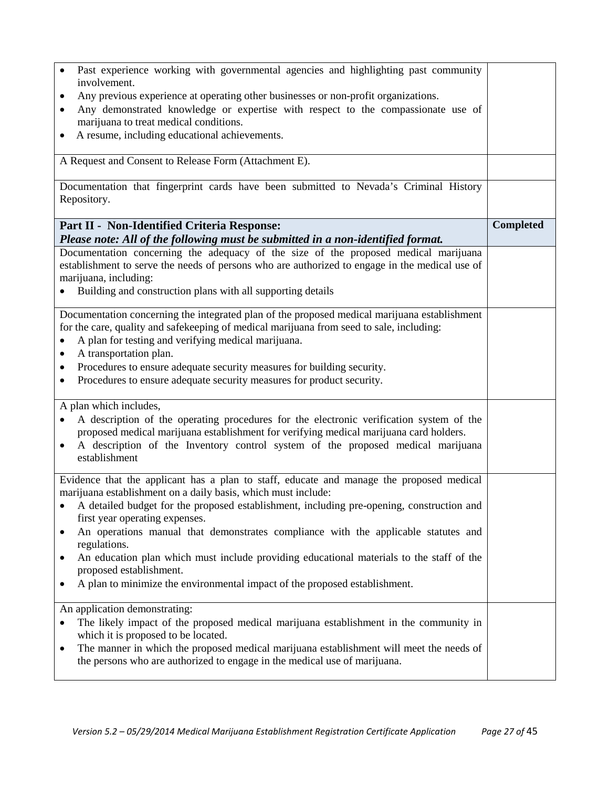| Past experience working with governmental agencies and highlighting past community                                                                                                       |                  |
|------------------------------------------------------------------------------------------------------------------------------------------------------------------------------------------|------------------|
| involvement.                                                                                                                                                                             |                  |
| Any previous experience at operating other businesses or non-profit organizations.                                                                                                       |                  |
| Any demonstrated knowledge or expertise with respect to the compassionate use of<br>٠                                                                                                    |                  |
| marijuana to treat medical conditions.                                                                                                                                                   |                  |
| A resume, including educational achievements.<br>$\bullet$                                                                                                                               |                  |
|                                                                                                                                                                                          |                  |
| A Request and Consent to Release Form (Attachment E).                                                                                                                                    |                  |
|                                                                                                                                                                                          |                  |
| Documentation that fingerprint cards have been submitted to Nevada's Criminal History                                                                                                    |                  |
| Repository.                                                                                                                                                                              |                  |
| Part II - Non-Identified Criteria Response:                                                                                                                                              | <b>Completed</b> |
| Please note: All of the following must be submitted in a non-identified format.                                                                                                          |                  |
| Documentation concerning the adequacy of the size of the proposed medical marijuana                                                                                                      |                  |
| establishment to serve the needs of persons who are authorized to engage in the medical use of                                                                                           |                  |
| marijuana, including:                                                                                                                                                                    |                  |
| Building and construction plans with all supporting details                                                                                                                              |                  |
|                                                                                                                                                                                          |                  |
| Documentation concerning the integrated plan of the proposed medical marijuana establishment<br>for the care, quality and safekeeping of medical marijuana from seed to sale, including: |                  |
| A plan for testing and verifying medical marijuana.                                                                                                                                      |                  |
| A transportation plan.<br>$\bullet$                                                                                                                                                      |                  |
| Procedures to ensure adequate security measures for building security.<br>٠                                                                                                              |                  |
| Procedures to ensure adequate security measures for product security.                                                                                                                    |                  |
|                                                                                                                                                                                          |                  |
| A plan which includes,                                                                                                                                                                   |                  |
| A description of the operating procedures for the electronic verification system of the                                                                                                  |                  |
| proposed medical marijuana establishment for verifying medical marijuana card holders.                                                                                                   |                  |
| A description of the Inventory control system of the proposed medical marijuana<br>$\bullet$                                                                                             |                  |
| establishment                                                                                                                                                                            |                  |
| Evidence that the applicant has a plan to staff, educate and manage the proposed medical                                                                                                 |                  |
| marijuana establishment on a daily basis, which must include:                                                                                                                            |                  |
| • A detailed budget for the proposed establishment, including pre-opening, construction and                                                                                              |                  |
| first year operating expenses.                                                                                                                                                           |                  |
| An operations manual that demonstrates compliance with the applicable statutes and<br>٠                                                                                                  |                  |
| regulations.                                                                                                                                                                             |                  |
| An education plan which must include providing educational materials to the staff of the<br>٠                                                                                            |                  |
| proposed establishment.                                                                                                                                                                  |                  |
| A plan to minimize the environmental impact of the proposed establishment.<br>٠                                                                                                          |                  |
| An application demonstrating:                                                                                                                                                            |                  |
| The likely impact of the proposed medical marijuana establishment in the community in                                                                                                    |                  |
| which it is proposed to be located.                                                                                                                                                      |                  |
| The manner in which the proposed medical marijuana establishment will meet the needs of<br>$\bullet$                                                                                     |                  |
| the persons who are authorized to engage in the medical use of marijuana.                                                                                                                |                  |
|                                                                                                                                                                                          |                  |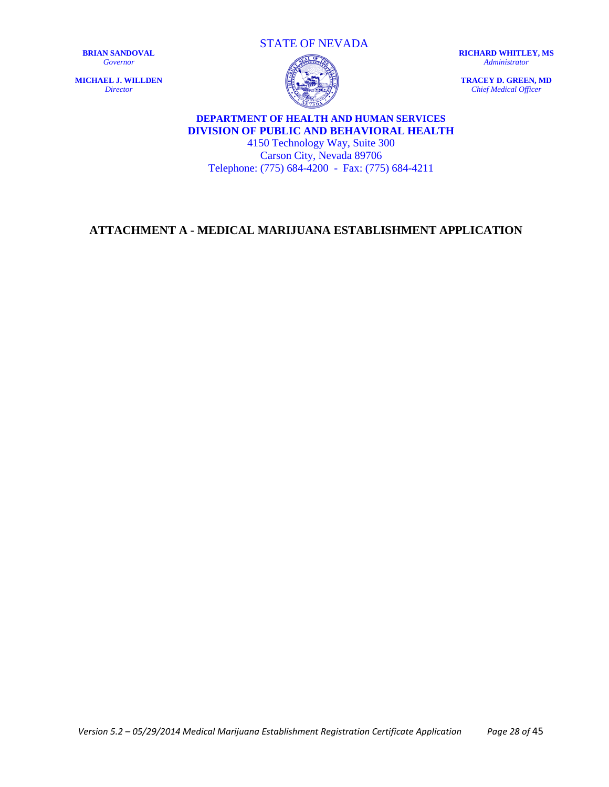**MICHAEL J. WILLDEN** *Director*

STATE OF NEVADA



**RICHARD WHITLEY, MS** *Administrator*

**TRACEY D. GREEN, MD** *Chief Medical Officer*

## **DEPARTMENT OF HEALTH AND HUMAN SERVICES DIVISION OF PUBLIC AND BEHAVIORAL HEALTH**

4150 Technology Way, Suite 300 Carson City, Nevada 89706 Telephone: (775) 684-4200 - Fax: (775) 684-4211

## <span id="page-27-0"></span>**ATTACHMENT A - MEDICAL MARIJUANA ESTABLISHMENT APPLICATION**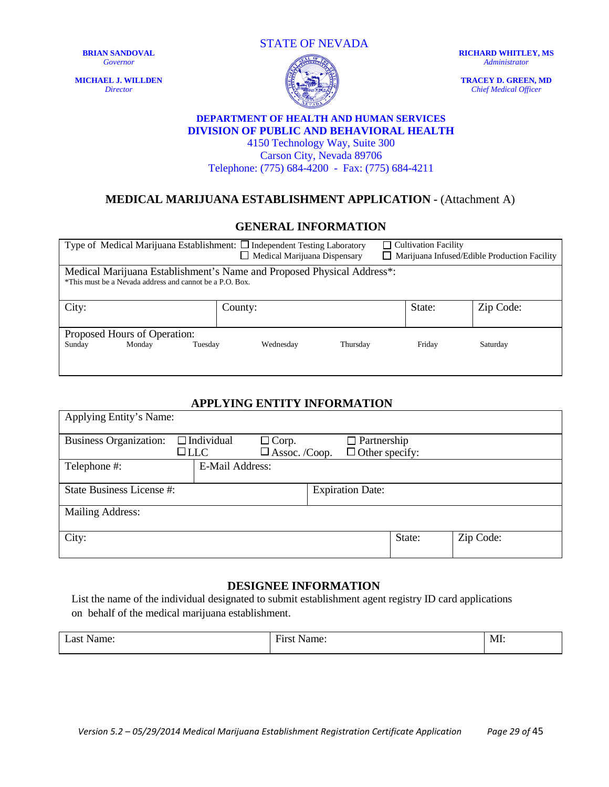**MICHAEL J. WILLDEN** *Director*

STATE OF NEVADA



**RICHARD WHITLEY, MS** *Administrator*

**TRACEY D. GREEN, MD** *Chief Medical Officer*

#### **DEPARTMENT OF HEALTH AND HUMAN SERVICES DIVISION OF PUBLIC AND BEHAVIORAL HEALTH**

4150 Technology Way, Suite 300 Carson City, Nevada 89706 Telephone: (775) 684-4200 - Fax: (775) 684-4211

## **MEDICAL MARIJUANA ESTABLISHMENT APPLICATION -** (Attachment A)

#### **GENERAL INFORMATION**

| Type of Medical Marijuana Establishment: $\Box$ Independent Testing Laboratory<br>$\Box$ Cultivation Facility<br>$\Box$ Medical Marijuana Dispensary<br>$\Box$ Marijuana Infused/Edible Production Facility |           |          |        |           |  |
|-------------------------------------------------------------------------------------------------------------------------------------------------------------------------------------------------------------|-----------|----------|--------|-----------|--|
| Medical Marijuana Establishment's Name and Proposed Physical Address*:<br>*This must be a Nevada address and cannot be a P.O. Box.                                                                          |           |          |        |           |  |
| City:                                                                                                                                                                                                       | County:   |          | State: | Zip Code: |  |
| Proposed Hours of Operation:                                                                                                                                                                                |           |          |        |           |  |
| Sunday<br>Monday<br>Tuesday                                                                                                                                                                                 | Wednesday | Thursday | Friday | Saturday  |  |

#### **APPLYING ENTITY INFORMATION**

| Applying Entity's Name:                              |            |                        |                                      |  |                                             |        |           |
|------------------------------------------------------|------------|------------------------|--------------------------------------|--|---------------------------------------------|--------|-----------|
| <b>Business Organization:</b>                        | $\Box$ LLC | $\Box$ Individual      | $\Box$ Corp.<br>$\Box$ Assoc. /Coop. |  | $\Box$ Partnership<br>$\Box$ Other specify: |        |           |
| Telephone #:                                         |            | <b>E-Mail Address:</b> |                                      |  |                                             |        |           |
| State Business License #:<br><b>Expiration Date:</b> |            |                        |                                      |  |                                             |        |           |
| <b>Mailing Address:</b>                              |            |                        |                                      |  |                                             |        |           |
| City:                                                |            |                        |                                      |  |                                             | State: | Zip Code: |

#### **DESIGNEE INFORMATION**

List the name of the individual designated to submit establishment agent registry ID card applications on behalf of the medical marijuana establishment.

| $\sim$<br>ാഴ<br>ame<br>$\lambda$ | $\overline{\phantom{a}}$<br>14,444 | $-$<br>- Mi |
|----------------------------------|------------------------------------|-------------|
|----------------------------------|------------------------------------|-------------|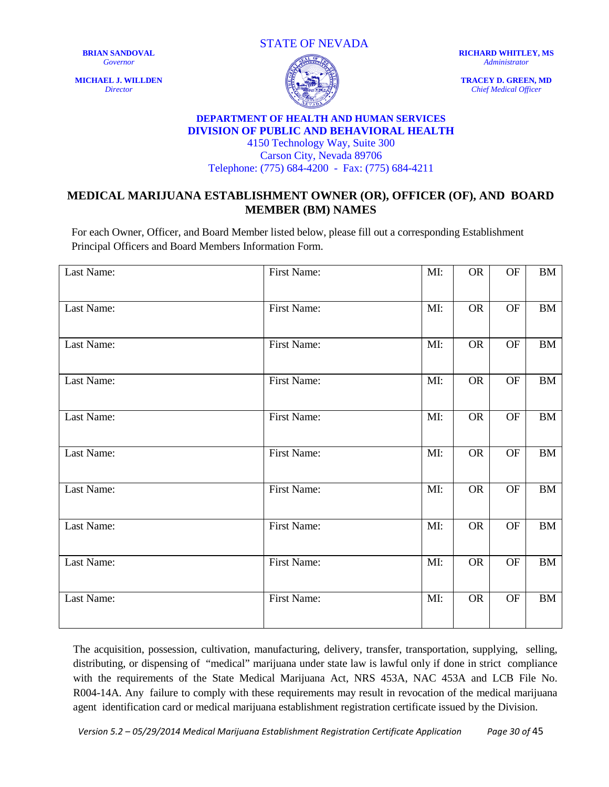**MICHAEL J. WILLDEN** *Director*





**RICHARD WHITLEY, MS** *Administrator*

**TRACEY D. GREEN, MD** *Chief Medical Officer*

#### **DEPARTMENT OF HEALTH AND HUMAN SERVICES DIVISION OF PUBLIC AND BEHAVIORAL HEALTH**

4150 Technology Way, Suite 300 Carson City, Nevada 89706 Telephone: (775) 684-4200 - Fax: (775) 684-4211

### **MEDICAL MARIJUANA ESTABLISHMENT OWNER (OR), OFFICER (OF), AND BOARD MEMBER (BM) NAMES**

For each Owner, Officer, and Board Member listed below, please fill out a corresponding Establishment Principal Officers and Board Members Information Form.

| Last Name: | First Name: | MI: | <b>OR</b> | $\rm OF$ | BM              |
|------------|-------------|-----|-----------|----------|-----------------|
| Last Name: | First Name: | MI: | <b>OR</b> | OF       | <b>BM</b>       |
| Last Name: | First Name: | MI: | <b>OR</b> | OF       | BM              |
| Last Name: | First Name: | MI: | <b>OR</b> | OF       | <b>BM</b>       |
| Last Name: | First Name: | MI: | <b>OR</b> | OF       | BM              |
| Last Name: | First Name: | MI: | <b>OR</b> | OF       | $\overline{BM}$ |
| Last Name: | First Name: | MI: | <b>OR</b> | OF       | BM              |
| Last Name: | First Name: | MI: | <b>OR</b> | OF       | BM              |
| Last Name: | First Name: | MI: | <b>OR</b> | OF       | BM              |
| Last Name: | First Name: | MI: | <b>OR</b> | OF       | <b>BM</b>       |
|            |             |     |           |          |                 |

The acquisition, possession, cultivation, manufacturing, delivery, transfer, transportation, supplying, selling, distributing, or dispensing of "medical" marijuana under state law is lawful only if done in strict compliance with the requirements of the State Medical Marijuana Act, NRS 453A, NAC 453A and LCB File No. R004-14A. Any failure to comply with these requirements may result in revocation of the medical marijuana agent identification card or medical marijuana establishment registration certificate issued by the Division.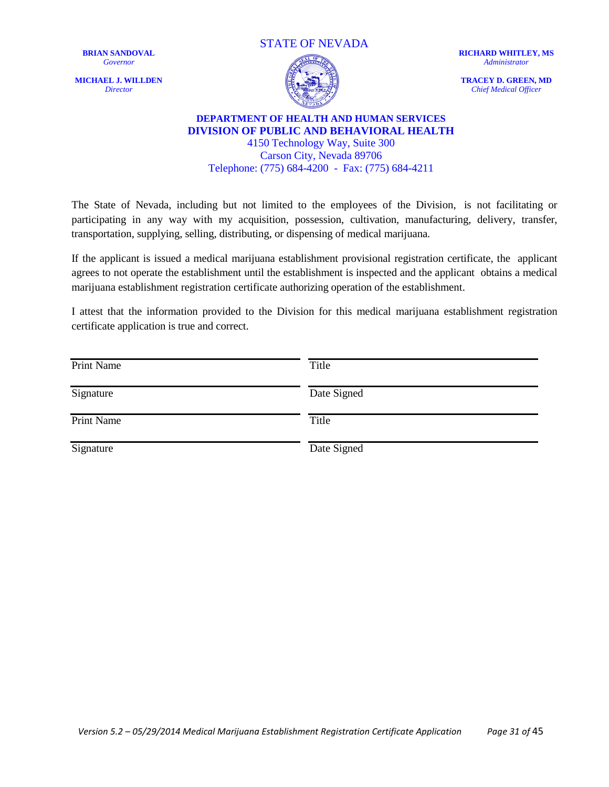**MICHAEL J. WILLDEN** *Director*





**RICHARD WHITLEY, MS** *Administrator*

**TRACEY D. GREEN, MD** *Chief Medical Officer*

#### **DEPARTMENT OF HEALTH AND HUMAN SERVICES DIVISION OF PUBLIC AND BEHAVIORAL HEALTH** 4150 Technology Way, Suite 300

Carson City, Nevada 89706 Telephone: (775) 684-4200 - Fax: (775) 684-4211

The State of Nevada, including but not limited to the employees of the Division, is not facilitating or participating in any way with my acquisition, possession, cultivation, manufacturing, delivery, transfer, transportation, supplying, selling, distributing, or dispensing of medical marijuana.

If the applicant is issued a medical marijuana establishment provisional registration certificate, the applicant agrees to not operate the establishment until the establishment is inspected and the applicant obtains a medical marijuana establishment registration certificate authorizing operation of the establishment.

I attest that the information provided to the Division for this medical marijuana establishment registration certificate application is true and correct.

| Print Name | Title       |
|------------|-------------|
| Signature  | Date Signed |
| Print Name | Title       |
| Signature  | Date Signed |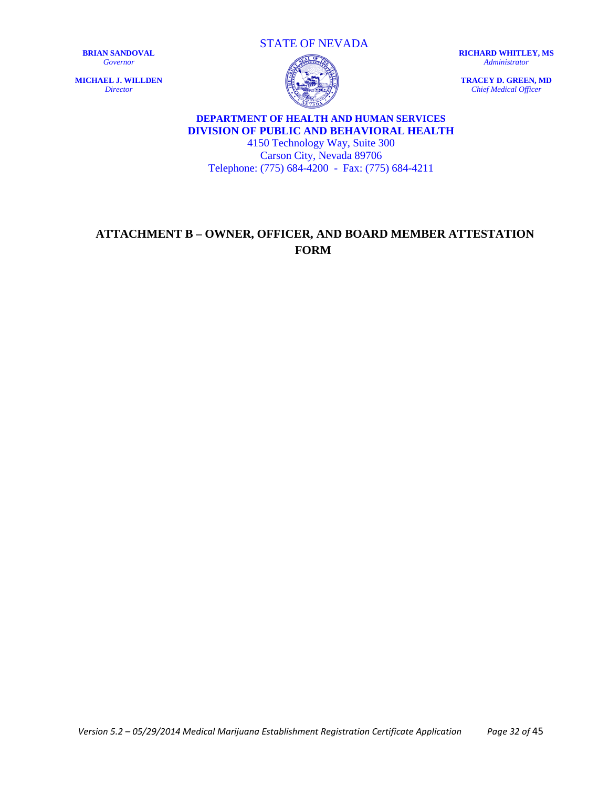**MICHAEL J. WILLDEN** *Director*

STATE OF NEVADA

**RICHARD WHITLEY, MS** *Administrator*

**TRACEY D. GREEN, MD** *Chief Medical Officer*



## **DEPARTMENT OF HEALTH AND HUMAN SERVICES DIVISION OF PUBLIC AND BEHAVIORAL HEALTH**

4150 Technology Way, Suite 300 Carson City, Nevada 89706 Telephone: (775) 684-4200 - Fax: (775) 684-4211

## <span id="page-31-0"></span>**ATTACHMENT B – OWNER, OFFICER, AND BOARD MEMBER ATTESTATION FORM**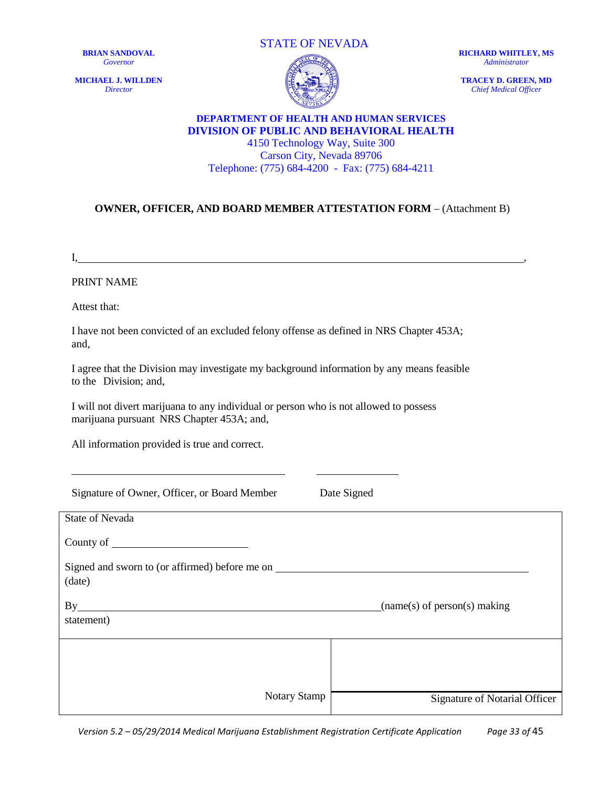**MICHAEL J. WILLDEN** *Director*





**RICHARD WHITLEY, MS** *Administrator*

**TRACEY D. GREEN, MD** *Chief Medical Officer*

#### **DEPARTMENT OF HEALTH AND HUMAN SERVICES DIVISION OF PUBLIC AND BEHAVIORAL HEALTH** 4150 Technology Way, Suite 300 Carson City, Nevada 89706

Telephone: (775) 684-4200 - Fax: (775) 684-4211

#### **OWNER, OFFICER, AND BOARD MEMBER ATTESTATION FORM** – (Attachment B)

 $\mathbf{I}_{\mathbf{A}}$ 

PRINT NAME

Attest that:

I have not been convicted of an excluded felony offense as defined in NRS Chapter 453A; and,

I agree that the Division may investigate my background information by any means feasible to the Division; and,

I will not divert marijuana to any individual or person who is not allowed to possess marijuana pursuant NRS Chapter 453A; and,

All information provided is true and correct.

Signature of Owner, Officer, or Board Member Date Signed

| <b>State of Nevada</b>                                   |                               |
|----------------------------------------------------------|-------------------------------|
|                                                          |                               |
| Signed and sworn to (or affirmed) before me on<br>(date) |                               |
| By<br>statement)                                         | (name(s) of person(s) making) |
|                                                          |                               |
| <b>Notary Stamp</b>                                      | Signature of Notarial Officer |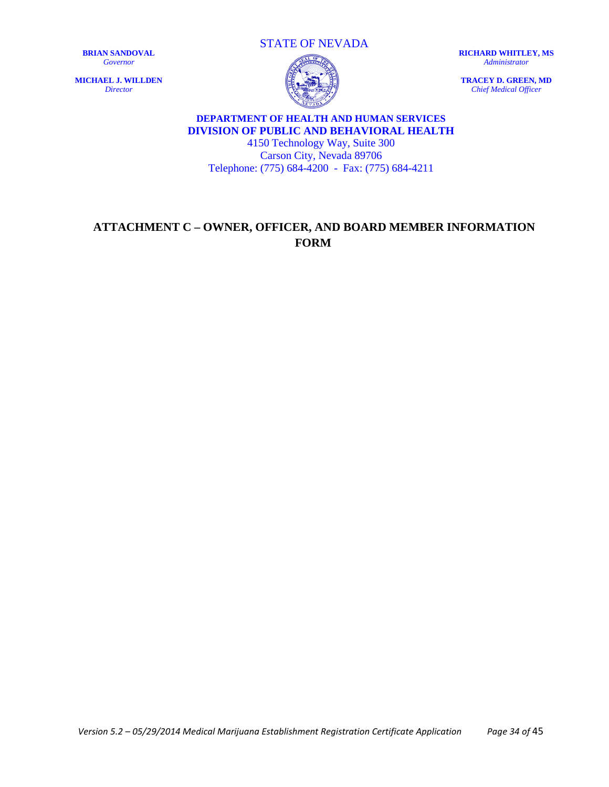**MICHAEL J. WILLDEN** *Director*

STATE OF NEVADA

**RICHARD WHITLEY, MS** *Administrator*

**TRACEY D. GREEN, MD** *Chief Medical Officer*

## **DEPARTMENT OF HEALTH AND HUMAN SERVICES DIVISION OF PUBLIC AND BEHAVIORAL HEALTH**

4150 Technology Way, Suite 300 Carson City, Nevada 89706 Telephone: (775) 684-4200 - Fax: (775) 684-4211

## <span id="page-33-0"></span>**ATTACHMENT C – OWNER, OFFICER, AND BOARD MEMBER INFORMATION FORM**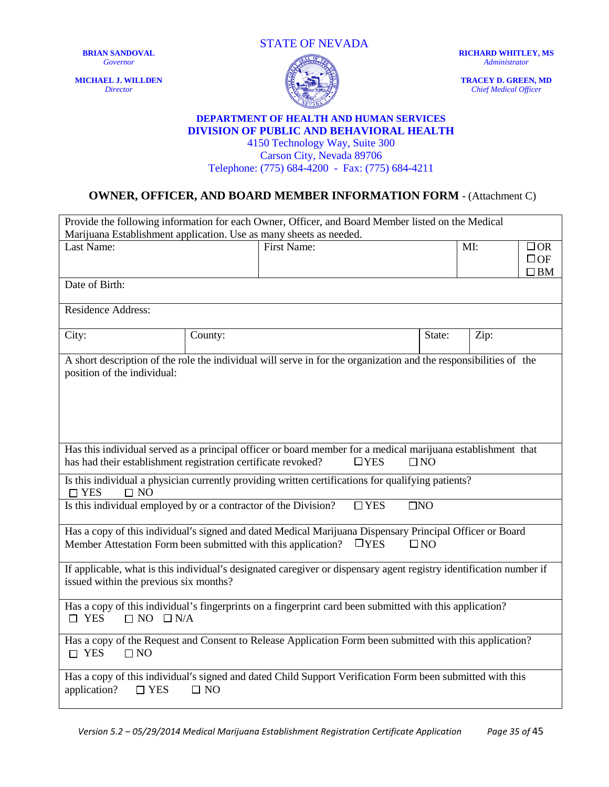**MICHAEL J. WILLDEN** *Director*





**RICHARD WHITLEY, MS** *Administrator*

**TRACEY D. GREEN, MD** *Chief Medical Officer*

#### **DEPARTMENT OF HEALTH AND HUMAN SERVICES DIVISION OF PUBLIC AND BEHAVIORAL HEALTH**

4150 Technology Way, Suite 300 Carson City, Nevada 89706 Telephone: (775) 684-4200 - Fax: (775) 684-4211

## **OWNER, OFFICER, AND BOARD MEMBER INFORMATION FORM** - (Attachment C)

| Provide the following information for each Owner, Officer, and Board Member listed on the Medical                                                                                                                                                                                                              |         |                    |  |        |      |                                        |
|----------------------------------------------------------------------------------------------------------------------------------------------------------------------------------------------------------------------------------------------------------------------------------------------------------------|---------|--------------------|--|--------|------|----------------------------------------|
| Marijuana Establishment application. Use as many sheets as needed.                                                                                                                                                                                                                                             |         |                    |  |        |      |                                        |
| Last Name:                                                                                                                                                                                                                                                                                                     |         | <b>First Name:</b> |  |        | MI:  | $\Box$ OR<br>$\Box$ OF<br>$\square$ BM |
| Date of Birth:                                                                                                                                                                                                                                                                                                 |         |                    |  |        |      |                                        |
| <b>Residence Address:</b>                                                                                                                                                                                                                                                                                      |         |                    |  |        |      |                                        |
| City:                                                                                                                                                                                                                                                                                                          | County: |                    |  | State: | Zip: |                                        |
| A short description of the role the individual will serve in for the organization and the responsibilities of the<br>position of the individual:                                                                                                                                                               |         |                    |  |        |      |                                        |
| Has this individual served as a principal officer or board member for a medical marijuana establishment that<br>has had their establishment registration certificate revoked?<br>$\Box$ YES<br>$\Box$ NO<br>Is this individual a physician currently providing written certifications for qualifying patients? |         |                    |  |        |      |                                        |
| $\Box$ YES<br>$\square$ NO                                                                                                                                                                                                                                                                                     |         |                    |  |        |      |                                        |
| Is this individual employed by or a contractor of the Division?<br>$\Box$ YES<br>$\square$ NO                                                                                                                                                                                                                  |         |                    |  |        |      |                                        |
| Has a copy of this individual's signed and dated Medical Marijuana Dispensary Principal Officer or Board<br>Member Attestation Form been submitted with this application?<br>$\Box$ YES<br>$\square$ NO                                                                                                        |         |                    |  |        |      |                                        |
| If applicable, what is this individual's designated caregiver or dispensary agent registry identification number if<br>issued within the previous six months?                                                                                                                                                  |         |                    |  |        |      |                                        |
| Has a copy of this individual's fingerprints on a fingerprint card been submitted with this application?<br>$\Box$ YES<br>$\Box$ NO $\Box$ N/A                                                                                                                                                                 |         |                    |  |        |      |                                        |
| Has a copy of the Request and Consent to Release Application Form been submitted with this application?<br>$\Box$ YES<br>$\Box$ NO                                                                                                                                                                             |         |                    |  |        |      |                                        |
| Has a copy of this individual's signed and dated Child Support Verification Form been submitted with this<br>application?<br>$\Box$ YES<br>$\square$ NO                                                                                                                                                        |         |                    |  |        |      |                                        |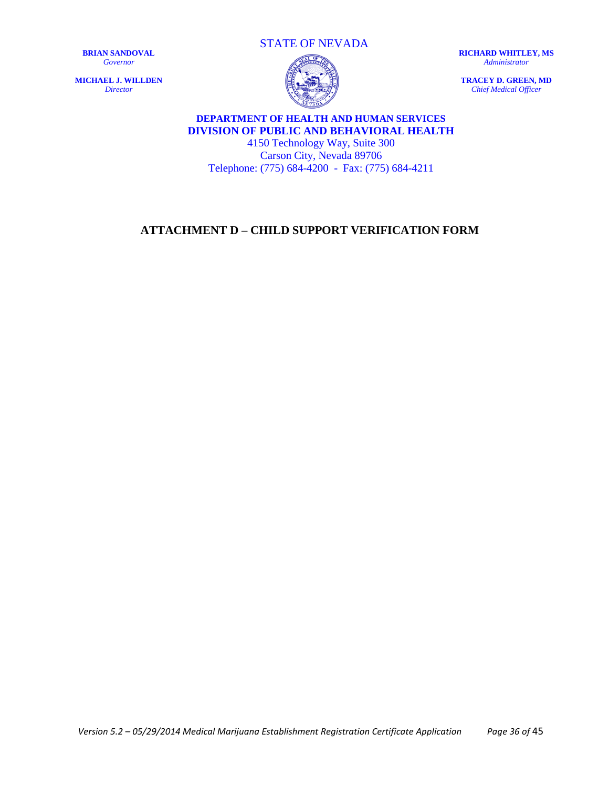**MICHAEL J. WILLDEN** *Director*



**RICHARD WHITLEY, MS** *Administrator*

**TRACEY D. GREEN, MD** *Chief Medical Officer*



## **DEPARTMENT OF HEALTH AND HUMAN SERVICES DIVISION OF PUBLIC AND BEHAVIORAL HEALTH**

4150 Technology Way, Suite 300 Carson City, Nevada 89706 Telephone: (775) 684-4200 - Fax: (775) 684-4211

## <span id="page-35-0"></span>**ATTACHMENT D – CHILD SUPPORT VERIFICATION FORM**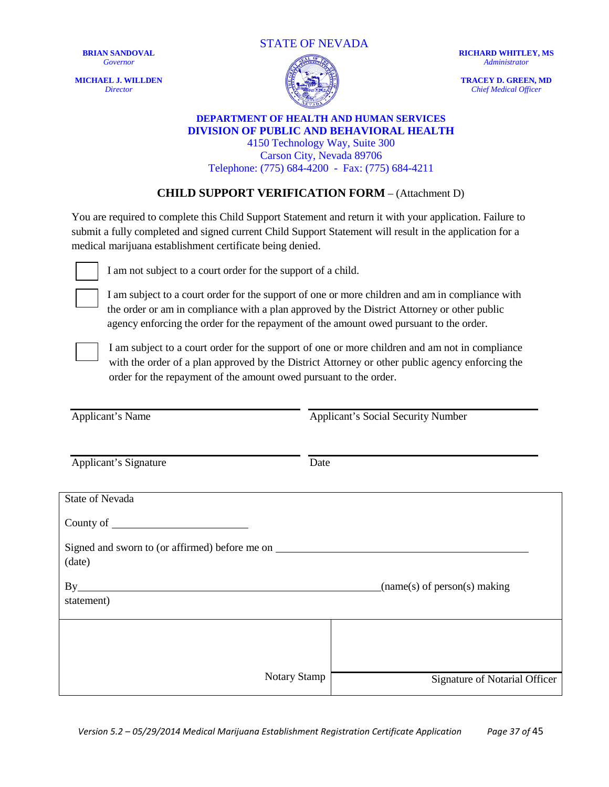**MICHAEL J. WILLDEN** *Director*





**RICHARD WHITLEY, MS** *Administrator*

**TRACEY D. GREEN, MD** *Chief Medical Officer*

#### **DEPARTMENT OF HEALTH AND HUMAN SERVICES DIVISION OF PUBLIC AND BEHAVIORAL HEALTH** 4150 Technology Way, Suite 300

Carson City, Nevada 89706 Telephone: (775) 684-4200 - Fax: (775) 684-4211

#### **CHILD SUPPORT VERIFICATION FORM** – (Attachment D)

You are required to complete this Child Support Statement and return it with your application. Failure to submit a fully completed and signed current Child Support Statement will result in the application for a medical marijuana establishment certificate being denied.



I am not subject to a court order for the support of a child.

I am subject to a court order for the support of one or more children and am in compliance with the order or am in compliance with a plan approved by the District Attorney or other public agency enforcing the order for the repayment of the amount owed pursuant to the order.



I am subject to a court order for the support of one or more children and am not in compliance with the order of a plan approved by the District Attorney or other public agency enforcing the order for the repayment of the amount owed pursuant to the order.

Applicant's Name Applicant's Social Security Number Applicant's Signature Date State of Nevada County of Signed and sworn to (or affirmed) before me on (date) By (name(s) of person(s) making statement) Notary Stamp Signature of Notarial Officer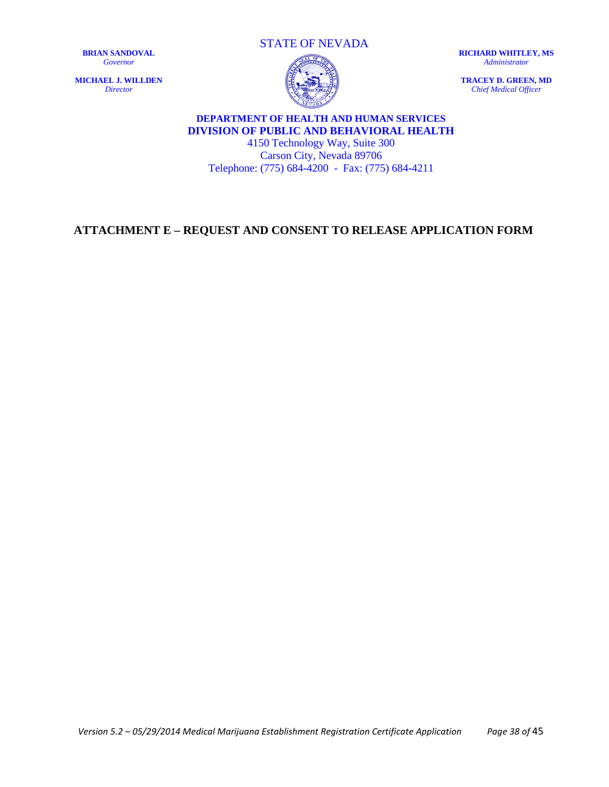**MICHAEL J. WILLDEN** *Director*

STATE OF NEVADA

**RICHARD WHITLEY, MS** *Administrator*

**TRACEY D. GREEN, MD** *Chief Medical Officer*

## **DEPARTMENT OF HEALTH AND HUMAN SERVICES DIVISION OF PUBLIC AND BEHAVIORAL HEALTH**

4150 Technology Way, Suite 300 Carson City, Nevada 89706 Telephone: (775) 684-4200 - Fax: (775) 684-4211

## <span id="page-37-0"></span>**ATTACHMENT E – REQUEST AND CONSENT TO RELEASE APPLICATION FORM**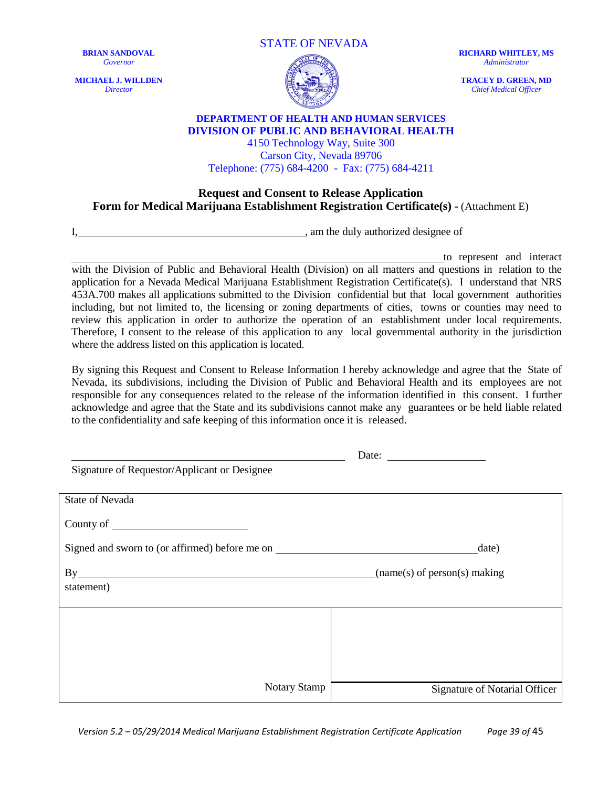**MICHAEL J. WILLDEN** *Director*





**RICHARD WHITLEY, MS** *Administrator*

**TRACEY D. GREEN, MD** *Chief Medical Officer*

#### **DEPARTMENT OF HEALTH AND HUMAN SERVICES DIVISION OF PUBLIC AND BEHAVIORAL HEALTH** 4150 Technology Way, Suite 300

Carson City, Nevada 89706 Telephone: (775) 684-4200 - Fax: (775) 684-4211

#### **Request and Consent to Release Application Form for Medical Marijuana Establishment Registration Certificate(s) -** (Attachment E)

I,  $\blacksquare$  , am the duly authorized designee of

to represent and interact with the Division of Public and Behavioral Health (Division) on all matters and questions in relation to the application for a Nevada Medical Marijuana Establishment Registration Certificate(s). I understand that NRS 453A.700 makes all applications submitted to the Division confidential but that local government authorities including, but not limited to, the licensing or zoning departments of cities, towns or counties may need to review this application in order to authorize the operation of an establishment under local requirements. Therefore, I consent to the release of this application to any local governmental authority in the jurisdiction where the address listed on this application is located.

By signing this Request and Consent to Release Information I hereby acknowledge and agree that the State of Nevada, its subdivisions, including the Division of Public and Behavioral Health and its employees are not responsible for any consequences related to the release of the information identified in this consent. I further acknowledge and agree that the State and its subdivisions cannot make any guarantees or be held liable related to the confidentiality and safe keeping of this information once it is released.

|                                                | Date: $\qquad \qquad$         |
|------------------------------------------------|-------------------------------|
| Signature of Requestor/Applicant or Designee   |                               |
|                                                |                               |
| <b>State of Nevada</b>                         |                               |
|                                                |                               |
| Signed and sworn to (or affirmed) before me on | date)                         |
|                                                |                               |
| By                                             | (name(s) of person(s) making) |
| statement)                                     |                               |
|                                                |                               |
|                                                |                               |
|                                                |                               |
|                                                |                               |
|                                                |                               |
| <b>Notary Stamp</b>                            | Signature of Notarial Officer |

*Version 5.2 – 05/29/2014 Medical Marijuana Establishment Registration Certificate Application Page 39 of* 45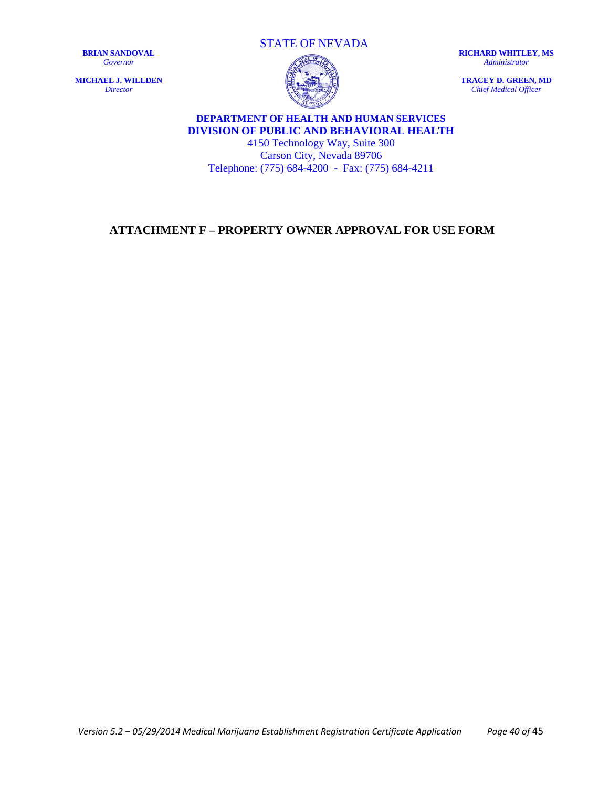**MICHAEL J. WILLDEN** *Director*

STATE OF NEVADA



**RICHARD WHITLEY, MS** *Administrator*

**TRACEY D. GREEN, MD** *Chief Medical Officer*

## **DEPARTMENT OF HEALTH AND HUMAN SERVICES DIVISION OF PUBLIC AND BEHAVIORAL HEALTH**

4150 Technology Way, Suite 300 Carson City, Nevada 89706 Telephone: (775) 684-4200 - Fax: (775) 684-4211

## <span id="page-39-0"></span>**ATTACHMENT F – PROPERTY OWNER APPROVAL FOR USE FORM**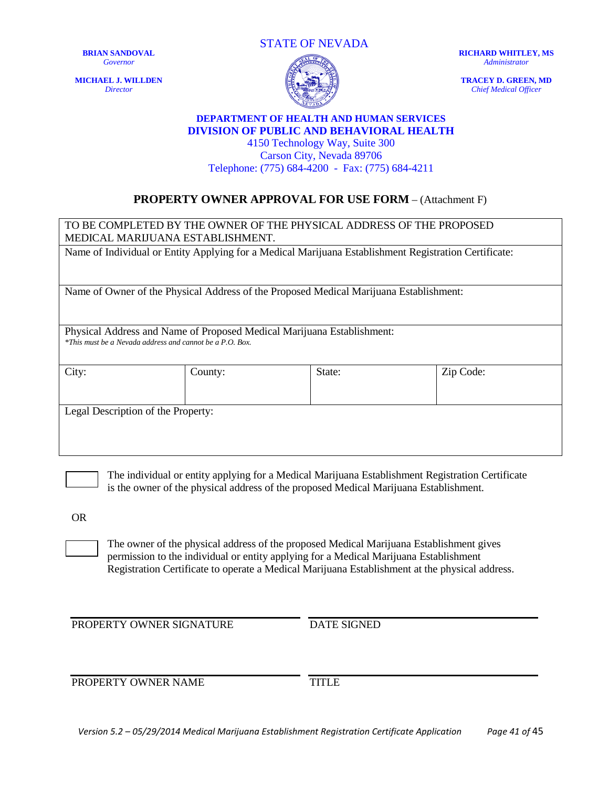**MICHAEL J. WILLDEN** *Director*

STATE OF NEVADA



**RICHARD WHITLEY, MS** *Administrator*

**TRACEY D. GREEN, MD** *Chief Medical Officer*

#### **DEPARTMENT OF HEALTH AND HUMAN SERVICES DIVISION OF PUBLIC AND BEHAVIORAL HEALTH**

4150 Technology Way, Suite 300 Carson City, Nevada 89706 Telephone: (775) 684-4200 - Fax: (775) 684-4211

## **PROPERTY OWNER APPROVAL FOR USE FORM** – (Attachment F)

| TO BE COMPLETED BY THE OWNER OF THE PHYSICAL ADDRESS OF THE PROPOSED<br>MEDICAL MARIJUANA ESTABLISHMENT.                           |         |        |           |
|------------------------------------------------------------------------------------------------------------------------------------|---------|--------|-----------|
| Name of Individual or Entity Applying for a Medical Marijuana Establishment Registration Certificate:                              |         |        |           |
| Name of Owner of the Physical Address of the Proposed Medical Marijuana Establishment:                                             |         |        |           |
| Physical Address and Name of Proposed Medical Marijuana Establishment:<br>*This must be a Nevada address and cannot be a P.O. Box. |         |        |           |
| City:                                                                                                                              | County: | State: | Zip Code: |
| Legal Description of the Property:                                                                                                 |         |        |           |

The individual or entity applying for a Medical Marijuana Establishment Registration Certificate is the owner of the physical address of the proposed Medical Marijuana Establishment.

OR

The owner of the physical address of the proposed Medical Marijuana Establishment gives permission to the individual or entity applying for a Medical Marijuana Establishment Registration Certificate to operate a Medical Marijuana Establishment at the physical address.

PROPERTY OWNER SIGNATURE DATE SIGNED

PROPERTY OWNER NAME TITLE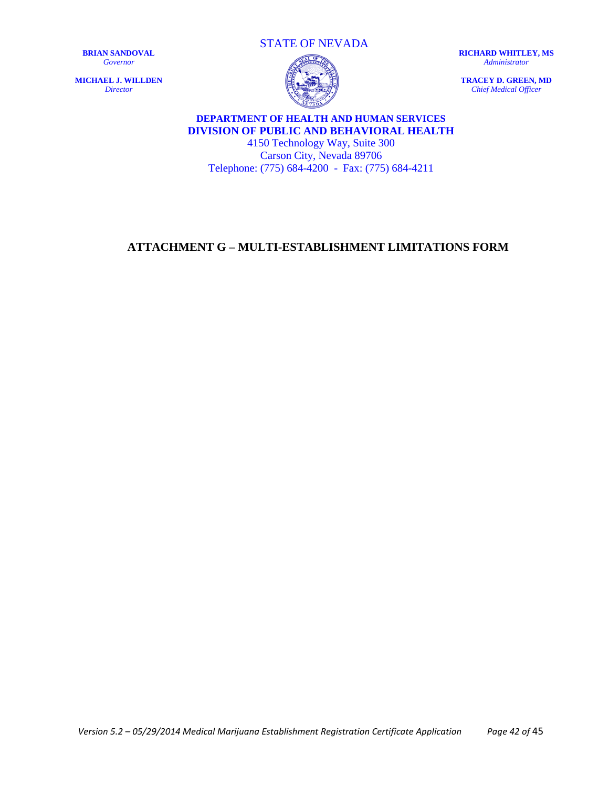**MICHAEL J. WILLDEN** *Director*

STATE OF NEVADA



**RICHARD WHITLEY, MS** *Administrator*

**TRACEY D. GREEN, MD** *Chief Medical Officer*

## **DEPARTMENT OF HEALTH AND HUMAN SERVICES DIVISION OF PUBLIC AND BEHAVIORAL HEALTH**

4150 Technology Way, Suite 300 Carson City, Nevada 89706 Telephone: (775) 684-4200 - Fax: (775) 684-4211

## <span id="page-41-0"></span>**ATTACHMENT G – MULTI-ESTABLISHMENT LIMITATIONS FORM**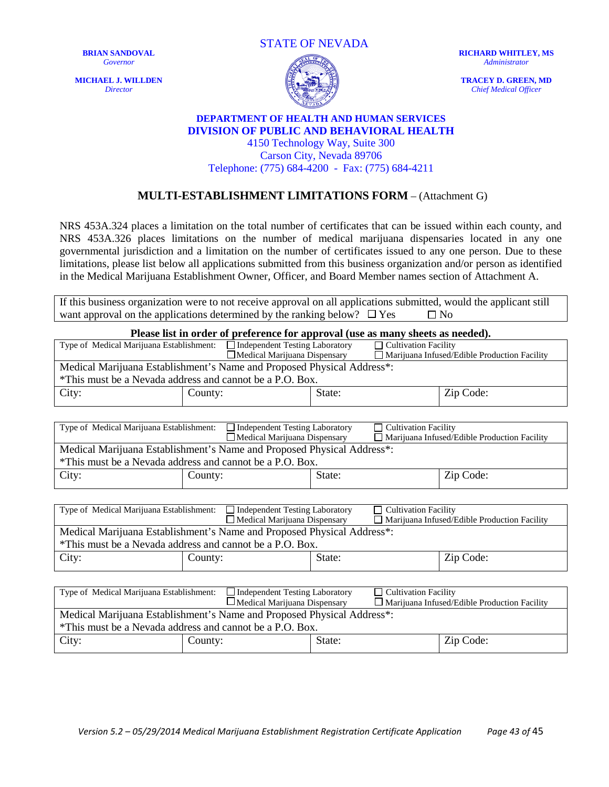**MICHAEL J. WILLDEN** *Director*





**RICHARD WHITLEY, MS** *Administrator*

**TRACEY D. GREEN, MD** *Chief Medical Officer*

#### **DEPARTMENT OF HEALTH AND HUMAN SERVICES DIVISION OF PUBLIC AND BEHAVIORAL HEALTH**

4150 Technology Way, Suite 300 Carson City, Nevada 89706 Telephone: (775) 684-4200 - Fax: (775) 684-4211

#### **MULTI-ESTABLISHMENT LIMITATIONS FORM** – (Attachment G)

NRS 453A.324 places a limitation on the total number of certificates that can be issued within each county, and NRS 453A.326 places limitations on the number of medical marijuana dispensaries located in any one governmental jurisdiction and a limitation on the number of certificates issued to any one person. Due to these limitations, please list below all applications submitted from this business organization and/or person as identified in the Medical Marijuana Establishment Owner, Officer, and Board Member names section of Attachment A.

If this business organization were to not receive approval on all applications submitted, would the applicant still want approval on the applications determined by the ranking below?  $\Box$  Yes  $\Box$  No

| Please list in order of preference for approval (use as many sheets as needed).                                  |                                                                        |        |                                              |                                                     |
|------------------------------------------------------------------------------------------------------------------|------------------------------------------------------------------------|--------|----------------------------------------------|-----------------------------------------------------|
| Type of Medical Marijuana Establishment:                                                                         | $\Box$ Independent Testing Laboratory                                  |        | $\Box$ Cultivation Facility                  |                                                     |
| $\Box$ Medical Marijuana Dispensary                                                                              |                                                                        |        | Marijuana Infused/Edible Production Facility |                                                     |
| Medical Marijuana Establishment's Name and Proposed Physical Address*:                                           |                                                                        |        |                                              |                                                     |
| *This must be a Nevada address and cannot be a P.O. Box.                                                         |                                                                        |        |                                              |                                                     |
| City:                                                                                                            | County:<br>State:                                                      |        |                                              | Zip Code:                                           |
|                                                                                                                  |                                                                        |        |                                              |                                                     |
| Type of Medical Marijuana Establishment:<br>Independent Testing Laboratory<br><b>Cultivation Facility</b>        |                                                                        |        |                                              |                                                     |
|                                                                                                                  | $\Box$ Medical Marijuana Dispensary                                    |        |                                              | $\Box$ Marijuana Infused/Edible Production Facility |
|                                                                                                                  | Medical Marijuana Establishment's Name and Proposed Physical Address*: |        |                                              |                                                     |
|                                                                                                                  | *This must be a Nevada address and cannot be a P.O. Box.               |        |                                              |                                                     |
| City:                                                                                                            | County:                                                                | State: |                                              | Zip Code:                                           |
|                                                                                                                  |                                                                        |        |                                              |                                                     |
|                                                                                                                  |                                                                        |        |                                              |                                                     |
| Type of Medical Marijuana Establishment:<br>$\Box$ Independent Testing Laboratory<br><b>Cultivation Facility</b> |                                                                        |        |                                              |                                                     |
| $\Box$ Medical Marijuana Dispensary<br>Marijuana Infused/Edible Production Facility                              |                                                                        |        |                                              |                                                     |
| Medical Marijuana Establishment's Name and Proposed Physical Address*:                                           |                                                                        |        |                                              |                                                     |
| *This must be a Nevada address and cannot be a P.O. Box.                                                         |                                                                        |        |                                              |                                                     |
| City:                                                                                                            | County:                                                                | State: |                                              | Zip Code:                                           |
|                                                                                                                  |                                                                        |        |                                              |                                                     |
|                                                                                                                  |                                                                        |        |                                              |                                                     |
| Type of Medical Marijuana Establishment:                                                                         | <b>Independent Testing Laboratory</b>                                  |        | <b>Cultivation Facility</b>                  |                                                     |
| □Medical Marijuana Dispensary<br>$\Box$ Marijuana Infused/Edible Production Facility                             |                                                                        |        |                                              |                                                     |
| Medical Marijuana Establishment's Name and Proposed Physical Address*:                                           |                                                                        |        |                                              |                                                     |
| *This must be a Nevada address and cannot be a P.O. Box.                                                         |                                                                        |        |                                              |                                                     |

City: County: State: Zip Code: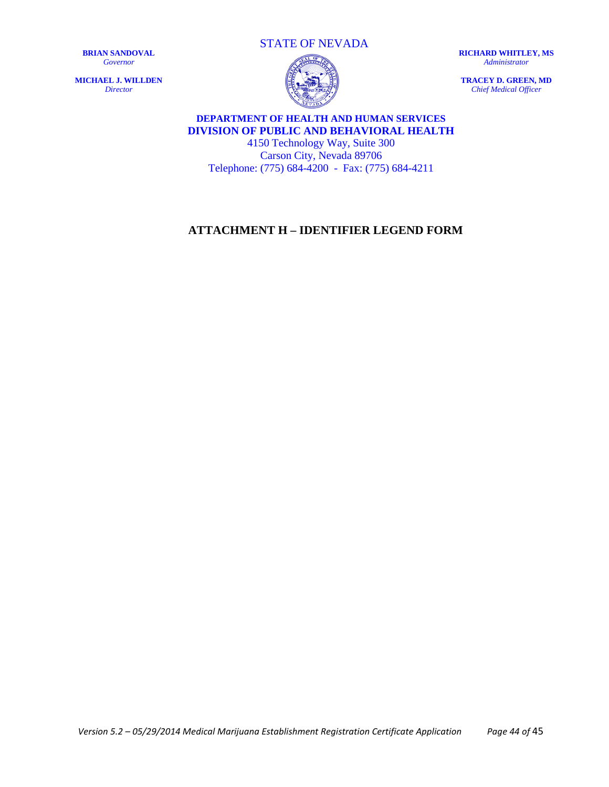**MICHAEL J. WILLDEN** *Director*

STATE OF NEVADA

**RICHARD WHITLEY, MS** *Administrator*

**TRACEY D. GREEN, MD** *Chief Medical Officer*

## **DEPARTMENT OF HEALTH AND HUMAN SERVICES DIVISION OF PUBLIC AND BEHAVIORAL HEALTH**

4150 Technology Way, Suite 300 Carson City, Nevada 89706 Telephone: (775) 684-4200 - Fax: (775) 684-4211

## <span id="page-43-0"></span>**ATTACHMENT H – IDENTIFIER LEGEND FORM**